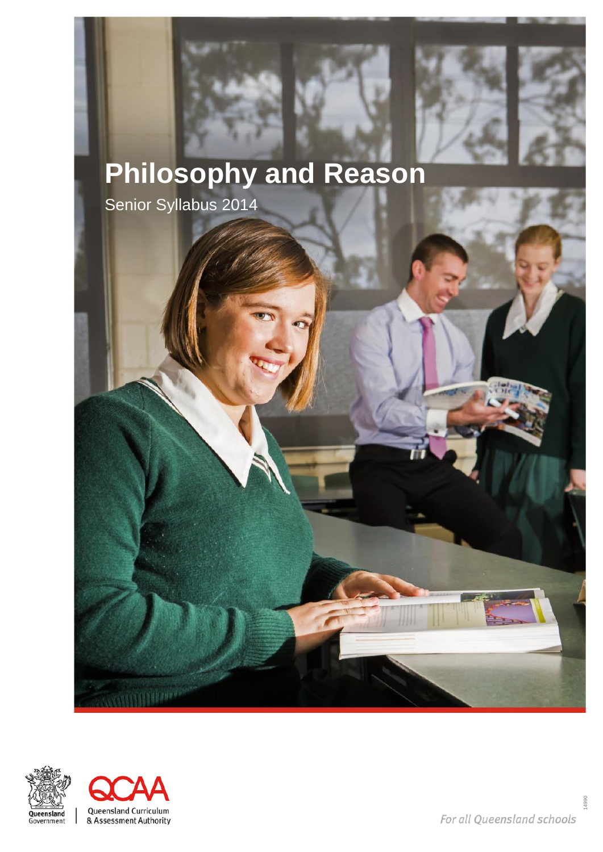

# **Philosophy and Reason**

Senior Syllabus 2014



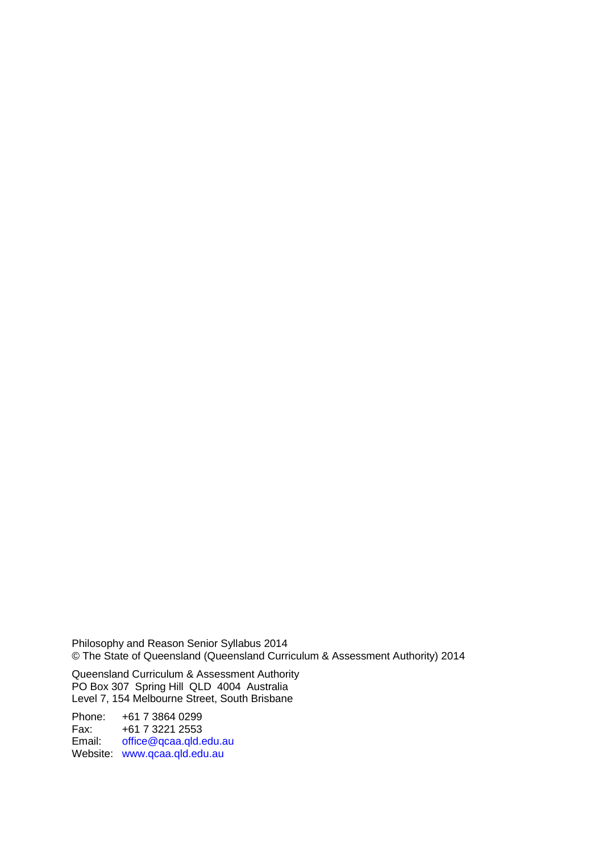Philosophy and Reason Senior Syllabus 2014 © The State of Queensland (Queensland Curriculum & Assessment Authority) 2014

Queensland Curriculum & Assessment Authority PO Box 307 Spring Hill QLD 4004 Australia Level 7, 154 Melbourne Street, South Brisbane

Phone: +61 7 3864 0299<br>Fax: +61 7 3221 2553 Fax: +61 7 3221 2553<br>Email: office@gcaa.gld.e [office@qcaa.qld.edu.au](mailto:office@qcaa.qld.edu.au) Website: [www.qcaa.qld.edu.au](http://www.qcaa.qld.edu.au/)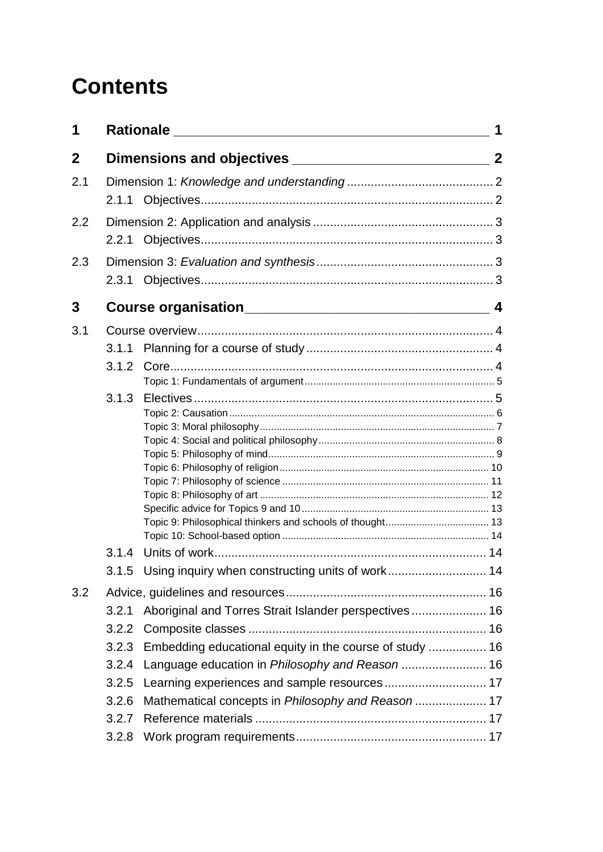# **Contents**

| 1           |       |                                                         |                  |
|-------------|-------|---------------------------------------------------------|------------------|
| $\mathbf 2$ |       |                                                         |                  |
| 2.1         |       |                                                         |                  |
|             |       |                                                         |                  |
| 2.2         |       |                                                         |                  |
|             | 2.2.1 |                                                         |                  |
| 2.3         |       |                                                         |                  |
|             | 2.3.1 |                                                         |                  |
| 3           |       |                                                         | $\boldsymbol{4}$ |
| 3.1         |       |                                                         |                  |
|             | 3.1.1 |                                                         |                  |
|             |       |                                                         |                  |
|             |       |                                                         |                  |
|             | 3.1.3 |                                                         |                  |
|             |       |                                                         |                  |
|             |       |                                                         |                  |
|             |       |                                                         |                  |
|             |       |                                                         |                  |
|             |       |                                                         |                  |
|             |       |                                                         |                  |
|             |       |                                                         |                  |
|             |       |                                                         |                  |
|             | 3.1.4 |                                                         |                  |
|             |       | 3.1.5 Using inquiry when constructing units of work 14  |                  |
| 3.2         |       |                                                         |                  |
|             | 3.2.1 | Aboriginal and Torres Strait Islander perspectives 16   |                  |
|             | 3.2.2 |                                                         |                  |
|             | 3.2.3 | Embedding educational equity in the course of study  16 |                  |
|             | 3.2.4 |                                                         |                  |
|             | 3.2.5 | Learning experiences and sample resources 17            |                  |
|             | 3.2.6 | Mathematical concepts in Philosophy and Reason  17      |                  |
|             | 3.2.7 |                                                         |                  |
|             | 3.2.8 |                                                         |                  |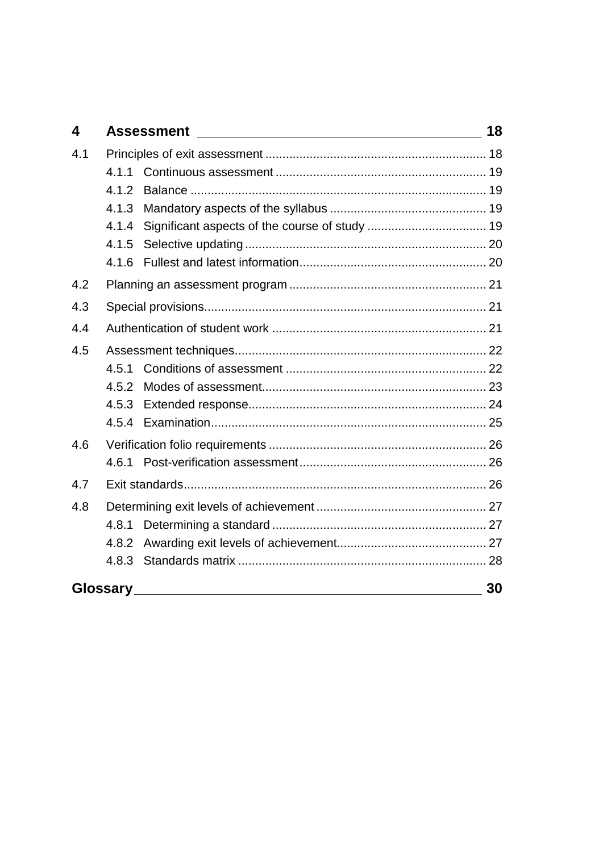| $\overline{\mathbf{4}}$ | <b>Assessment</b> | 18 |
|-------------------------|-------------------|----|
| 4.1                     |                   |    |
|                         | 4.1.1             |    |
|                         | 4.1.2             |    |
|                         | 4.1.3             |    |
|                         | 4.1.4             |    |
|                         | 4.1.5             |    |
|                         | 4.1.6             |    |
| 4.2                     |                   |    |
| 4.3                     |                   |    |
| 4.4                     |                   |    |
| 4.5                     |                   |    |
|                         | 4.5.1             |    |
|                         | 4.5.2             |    |
|                         |                   |    |
|                         | 4.5.4             |    |
| 4.6                     |                   |    |
|                         |                   |    |
| 4.7                     |                   |    |
| 4.8                     |                   |    |
|                         | 4.8.1             |    |
|                         | 4.8.2             |    |
|                         | 4.8.3             |    |
|                         | <b>Glossary</b>   | 30 |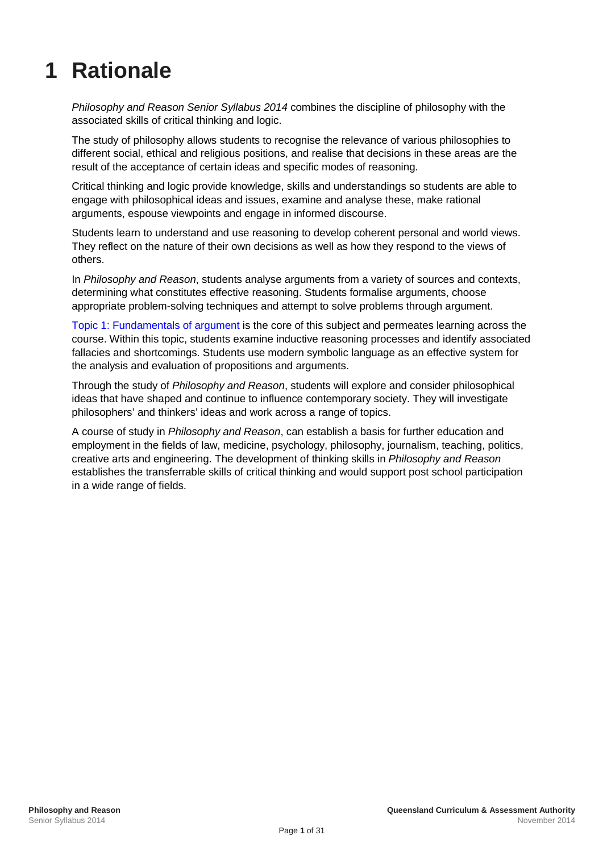# <span id="page-4-0"></span>**1 Rationale**

*Philosophy and Reason Senior Syllabus 2014* combines the discipline of philosophy with the associated skills of critical thinking and logic.

The study of philosophy allows students to recognise the relevance of various philosophies to different social, ethical and religious positions, and realise that decisions in these areas are the result of the acceptance of certain ideas and specific modes of reasoning.

Critical thinking and logic provide knowledge, skills and understandings so students are able to engage with philosophical ideas and issues, examine and analyse these, make rational arguments, espouse viewpoints and engage in informed discourse.

Students learn to understand and use reasoning to develop coherent personal and world views. They reflect on the nature of their own decisions as well as how they respond to the views of others.

In *Philosophy and Reason*, students analyse arguments from a variety of sources and contexts, determining what constitutes effective reasoning. Students formalise arguments, choose appropriate problem-solving techniques and attempt to solve problems through argument.

[Topic 1: Fundamentals of argument](#page-8-0) is the core of this subject and permeates learning across the course. Within this topic, students examine inductive reasoning processes and identify associated fallacies and shortcomings. Students use modern symbolic language as an effective system for the analysis and evaluation of propositions and arguments.

Through the study of *Philosophy and Reason*, students will explore and consider philosophical ideas that have shaped and continue to influence contemporary society. They will investigate philosophers' and thinkers' ideas and work across a range of topics.

A course of study in *Philosophy and Reason*, can establish a basis for further education and employment in the fields of law, medicine, psychology, philosophy, journalism, teaching, politics, creative arts and engineering. The development of thinking skills in *Philosophy and Reason* establishes the transferrable skills of critical thinking and would support post school participation in a wide range of fields.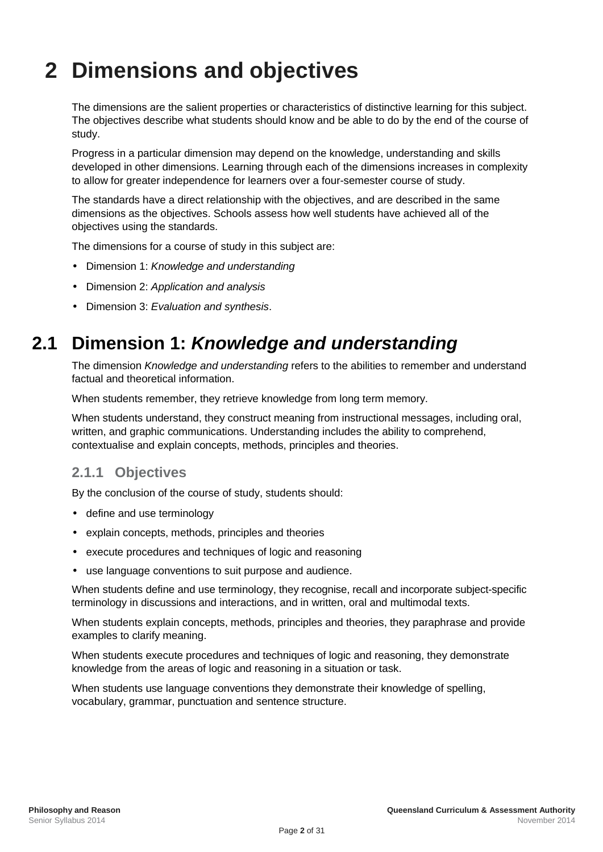# <span id="page-5-0"></span>**2 Dimensions and objectives**

The dimensions are the salient properties or characteristics of distinctive learning for this subject. The objectives describe what students should know and be able to do by the end of the course of study.

Progress in a particular dimension may depend on the knowledge, understanding and skills developed in other dimensions. Learning through each of the dimensions increases in complexity to allow for greater independence for learners over a four-semester course of study.

The standards have a direct relationship with the objectives, and are described in the same dimensions as the objectives. Schools assess how well students have achieved all of the objectives using the standards.

The dimensions for a course of study in this subject are:

- Dimension 1: *Knowledge and understanding*
- Dimension 2: *Application and analysis*
- <span id="page-5-1"></span>Dimension 3: *Evaluation and synthesis*.

## **2.1 Dimension 1:** *Knowledge and understanding*

The dimension *Knowledge and understanding* refers to the abilities to remember and understand factual and theoretical information.

When students remember, they retrieve knowledge from long term memory.

When students understand, they construct meaning from instructional messages, including oral, written, and graphic communications. Understanding includes the ability to comprehend, contextualise and explain concepts, methods, principles and theories.

## <span id="page-5-2"></span>**2.1.1 Objectives**

By the conclusion of the course of study, students should:

- define and use terminology
- explain concepts, methods, principles and theories
- execute procedures and techniques of logic and reasoning
- use language conventions to suit purpose and audience.

When students define and use terminology, they recognise, recall and incorporate subject-specific terminology in discussions and interactions, and in written, oral and multimodal texts.

When students explain concepts, methods, principles and theories, they paraphrase and provide examples to clarify meaning.

When students execute procedures and techniques of logic and reasoning, they demonstrate knowledge from the areas of logic and reasoning in a situation or task.

When students use language conventions they demonstrate their knowledge of spelling, vocabulary, grammar, punctuation and sentence structure.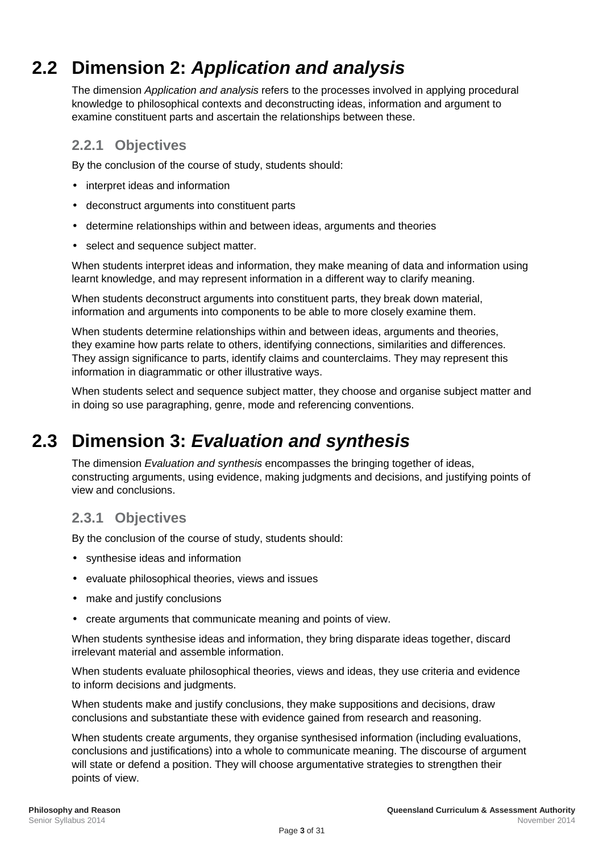# **2.2 Dimension 2:** *Application and analysis*

<span id="page-6-0"></span>The dimension *Application and analysis* refers to the processes involved in applying procedural knowledge to philosophical contexts and deconstructing ideas, information and argument to examine constituent parts and ascertain the relationships between these.

### <span id="page-6-1"></span>**2.2.1 Objectives**

By the conclusion of the course of study, students should:

- interpret ideas and information
- deconstruct arguments into constituent parts
- determine relationships within and between ideas, arguments and theories
- select and sequence subject matter.

When students interpret ideas and information, they make meaning of data and information using learnt knowledge, and may represent information in a different way to clarify meaning.

When students deconstruct arguments into constituent parts, they break down material, information and arguments into components to be able to more closely examine them.

When students determine relationships within and between ideas, arguments and theories, they examine how parts relate to others, identifying connections, similarities and differences. They assign significance to parts, identify claims and counterclaims. They may represent this information in diagrammatic or other illustrative ways.

<span id="page-6-2"></span>When students select and sequence subject matter, they choose and organise subject matter and in doing so use paragraphing, genre, mode and referencing conventions.

## **2.3 Dimension 3:** *Evaluation and synthesis*

The dimension *Evaluation and synthesis* encompasses the bringing together of ideas, constructing arguments, using evidence, making judgments and decisions, and justifying points of view and conclusions.

## <span id="page-6-3"></span>**2.3.1 Objectives**

By the conclusion of the course of study, students should:

- synthesise ideas and information
- evaluate philosophical theories, views and issues
- make and justify conclusions
- create arguments that communicate meaning and points of view.

When students synthesise ideas and information, they bring disparate ideas together, discard irrelevant material and assemble information.

When students evaluate philosophical theories, views and ideas, they use criteria and evidence to inform decisions and judgments.

When students make and justify conclusions, they make suppositions and decisions, draw conclusions and substantiate these with evidence gained from research and reasoning.

When students create arguments, they organise synthesised information (including evaluations, conclusions and justifications) into a whole to communicate meaning. The discourse of argument will state or defend a position. They will choose argumentative strategies to strengthen their points of view.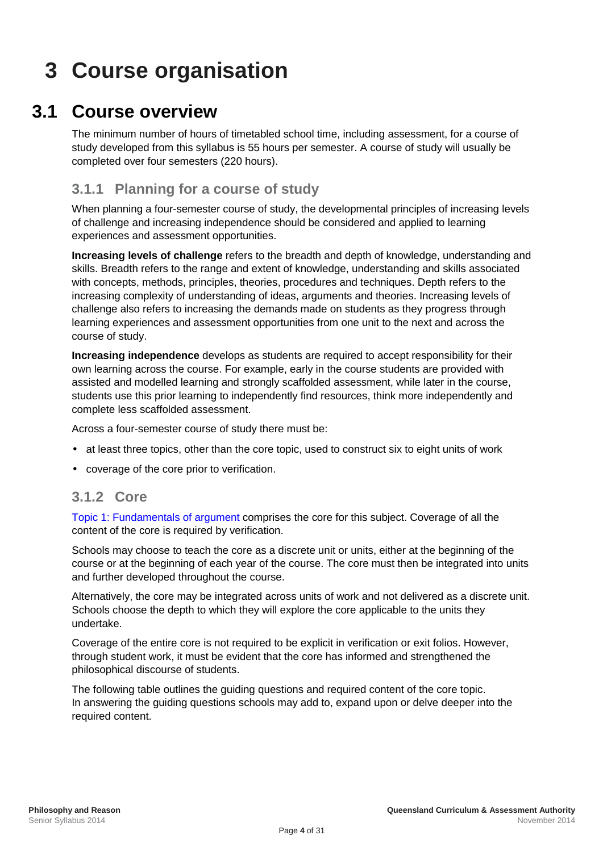# <span id="page-7-0"></span>**3 Course organisation**

## **3.1 Course overview**

<span id="page-7-1"></span>The minimum number of hours of timetabled school time, including assessment, for a course of study developed from this syllabus is 55 hours per semester. A course of study will usually be completed over four semesters (220 hours).

## <span id="page-7-2"></span>**3.1.1 Planning for a course of study**

When planning a four-semester course of study, the developmental principles of increasing levels of challenge and increasing independence should be considered and applied to learning experiences and assessment opportunities.

**Increasing levels of challenge** refers to the breadth and depth of knowledge, understanding and skills. Breadth refers to the range and extent of knowledge, understanding and skills associated with concepts, methods, principles, theories, procedures and techniques. Depth refers to the increasing complexity of understanding of ideas, arguments and theories. Increasing levels of challenge also refers to increasing the demands made on students as they progress through learning experiences and assessment opportunities from one unit to the next and across the course of study.

**Increasing independence** develops as students are required to accept responsibility for their own learning across the course. For example, early in the course students are provided with assisted and modelled learning and strongly scaffolded assessment, while later in the course, students use this prior learning to independently find resources, think more independently and complete less scaffolded assessment.

Across a four-semester course of study there must be:

- at least three topics, other than the core topic, used to construct six to eight units of work
- coverage of the core prior to verification.

### <span id="page-7-3"></span>**3.1.2 Core**

[Topic 1: Fundamentals of argument](#page-8-0) comprises the core for this subject. Coverage of all the content of the core is required by verification.

Schools may choose to teach the core as a discrete unit or units, either at the beginning of the course or at the beginning of each year of the course. The core must then be integrated into units and further developed throughout the course.

Alternatively, the core may be integrated across units of work and not delivered as a discrete unit. Schools choose the depth to which they will explore the core applicable to the units they undertake.

Coverage of the entire core is not required to be explicit in verification or exit folios. However, through student work, it must be evident that the core has informed and strengthened the philosophical discourse of students.

The following table outlines the guiding questions and required content of the core topic. In answering the guiding questions schools may add to, expand upon or delve deeper into the required content.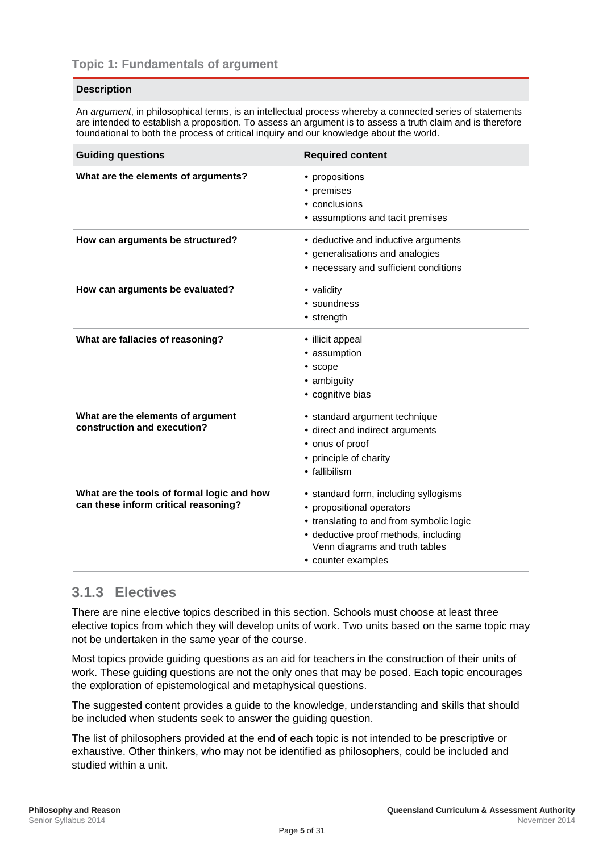<span id="page-8-0"></span>An *argument*, in philosophical terms, is an intellectual process whereby a connected series of statements are intended to establish a proposition. To assess an argument is to assess a truth claim and is therefore foundational to both the process of critical inquiry and our knowledge about the world.

| <b>Guiding questions</b>                                                           | <b>Required content</b>                                                                                                                                                                                |  |
|------------------------------------------------------------------------------------|--------------------------------------------------------------------------------------------------------------------------------------------------------------------------------------------------------|--|
| What are the elements of arguments?                                                | propositions<br>· premises<br>$\cdot$ conclusions<br>assumptions and tacit premises                                                                                                                    |  |
| How can arguments be structured?                                                   | deductive and inductive arguments<br>generalisations and analogies<br>· necessary and sufficient conditions                                                                                            |  |
| How can arguments be evaluated?                                                    | · validity<br>· soundness<br>$\cdot$ strength                                                                                                                                                          |  |
| What are fallacies of reasoning?                                                   | · illicit appeal<br>· assumption<br>$\cdot$ scope<br>· ambiguity<br>· cognitive bias                                                                                                                   |  |
| What are the elements of argument<br>construction and execution?                   | · standard argument technique<br>direct and indirect arguments<br>onus of proof<br>principle of charity<br>· fallibilism                                                                               |  |
| What are the tools of formal logic and how<br>can these inform critical reasoning? | · standard form, including syllogisms<br>propositional operators<br>translating to and from symbolic logic<br>deductive proof methods, including<br>Venn diagrams and truth tables<br>counter examples |  |

### <span id="page-8-1"></span>**3.1.3 Electives**

There are nine elective topics described in this section. Schools must choose at least three elective topics from which they will develop units of work. Two units based on the same topic may not be undertaken in the same year of the course.

Most topics provide guiding questions as an aid for teachers in the construction of their units of work. These guiding questions are not the only ones that may be posed. Each topic encourages the exploration of epistemological and metaphysical questions.

The suggested content provides a guide to the knowledge, understanding and skills that should be included when students seek to answer the guiding question.

The list of philosophers provided at the end of each topic is not intended to be prescriptive or exhaustive. Other thinkers, who may not be identified as philosophers, could be included and studied within a unit.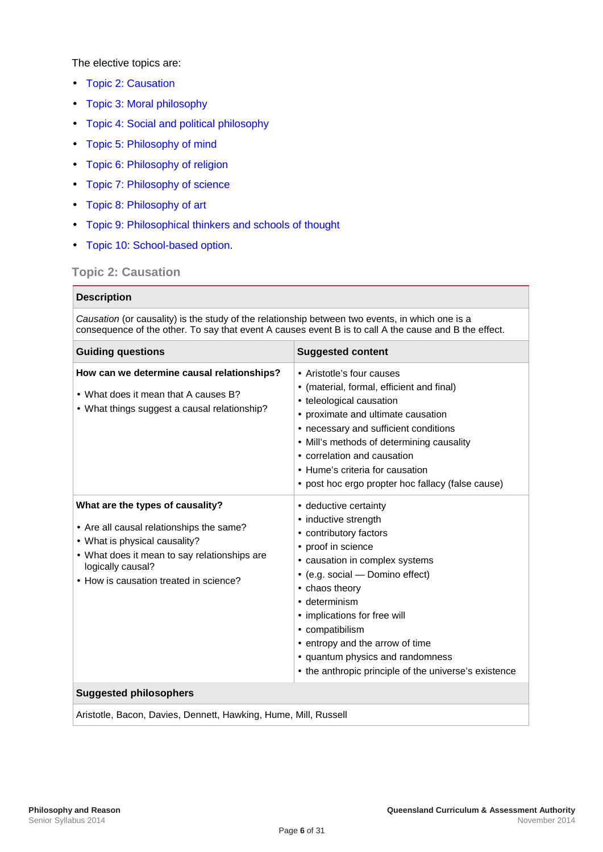The elective topics are:

- **[Topic 2: Causation](#page-9-0)**
- [Topic 3: Moral philosophy](#page-10-0) à,
- [Topic 4: Social and political philosophy](#page-11-0)  $\mathbf{r}$
- [Topic 5: Philosophy of mind](#page-12-0)
- [Topic 6: Philosophy of religion](#page-13-0)  $\hat{\mathbf{r}}$
- [Topic 7: Philosophy of science](#page-14-0)
- [Topic 8: Philosophy of art](#page-15-0)
- [Topic 9: Philosophical thinkers and schools of thought](#page-16-1)
- [Topic 10: School-based option.](#page-17-0)

#### <span id="page-9-0"></span>**Topic 2: Causation**

| <b>Description</b>                                                                                                                                                                                                     |                                                                                                                                                                                                                                                                                                                                                                                               |  |  |
|------------------------------------------------------------------------------------------------------------------------------------------------------------------------------------------------------------------------|-----------------------------------------------------------------------------------------------------------------------------------------------------------------------------------------------------------------------------------------------------------------------------------------------------------------------------------------------------------------------------------------------|--|--|
| Causation (or causality) is the study of the relationship between two events, in which one is a<br>consequence of the other. To say that event A causes event B is to call A the cause and B the effect.               |                                                                                                                                                                                                                                                                                                                                                                                               |  |  |
| <b>Guiding questions</b>                                                                                                                                                                                               | <b>Suggested content</b>                                                                                                                                                                                                                                                                                                                                                                      |  |  |
| How can we determine causal relationships?<br>What does it mean that A causes B?<br>· What things suggest a causal relationship?                                                                                       | · Aristotle's four causes<br>(material, formal, efficient and final)<br>· teleological causation<br>proximate and ultimate causation<br>· necessary and sufficient conditions<br>Mill's methods of determining causality<br>correlation and causation<br>· Hume's criteria for causation<br>post hoc ergo propter hoc fallacy (false cause)                                                   |  |  |
| What are the types of causality?<br>Are all causal relationships the same?<br>· What is physical causality?<br>What does it mean to say relationships are<br>logically causal?<br>How is causation treated in science? | · deductive certainty<br>· inductive strength<br>contributory factors<br>proof in science<br>· causation in complex systems<br>(e.g. social - Domino effect)<br>chaos theory<br>determinism<br>$\cdot$<br>· implications for free will<br>· compatibilism<br>$\cdot$ entropy and the arrow of time<br>· quantum physics and randomness<br>the anthropic principle of the universe's existence |  |  |
| <b>Suggested philosophers</b>                                                                                                                                                                                          |                                                                                                                                                                                                                                                                                                                                                                                               |  |  |
| Aristotle, Bacon, Davies, Dennett, Hawking, Hume, Mill, Russell                                                                                                                                                        |                                                                                                                                                                                                                                                                                                                                                                                               |  |  |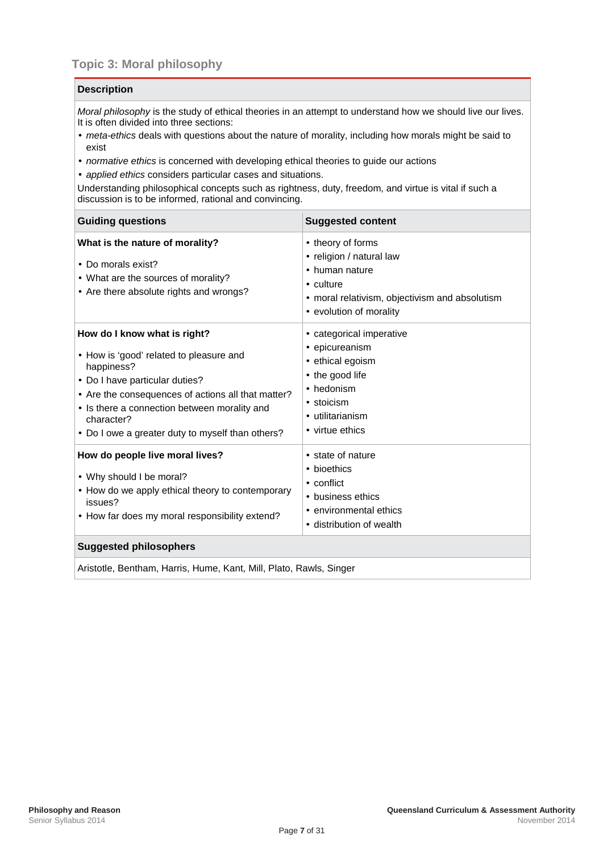<span id="page-10-0"></span>*Moral philosophy* is the study of ethical theories in an attempt to understand how we should live our lives. It is often divided into three sections:

- *meta-ethics* deals with questions about the nature of morality, including how morals might be said to exist
- *normative ethics* is concerned with developing ethical theories to guide our actions
- *applied ethics* considers particular cases and situations.

Understanding philosophical concepts such as rightness, duty, freedom, and virtue is vital if such a discussion is to be informed, rational and convincing.

| <b>Guiding questions</b>                                                                                                                                                                                                                                                                | <b>Suggested content</b>                                                                                                                          |  |
|-----------------------------------------------------------------------------------------------------------------------------------------------------------------------------------------------------------------------------------------------------------------------------------------|---------------------------------------------------------------------------------------------------------------------------------------------------|--|
| What is the nature of morality?<br>· Do morals exist?<br>· What are the sources of morality?<br>Are there absolute rights and wrongs?                                                                                                                                                   | theory of forms<br>· religion / natural law<br>human nature<br>· culture<br>moral relativism, objectivism and absolutism<br>evolution of morality |  |
| How do I know what is right?<br>How is 'good' related to pleasure and<br>happiness?<br>Do I have particular duties?<br>Are the consequences of actions all that matter?<br>· Is there a connection between morality and<br>character?<br>Do I owe a greater duty to myself than others? | categorical imperative<br>epicureanism<br>ethical egoism<br>the good life<br>hedonism<br>stoicism<br>utilitarianism<br>· virtue ethics            |  |
| How do people live moral lives?<br>Why should I be moral?<br>• How do we apply ethical theory to contemporary<br>issues?<br>How far does my moral responsibility extend?<br><b>Suggested philosophers</b>                                                                               | state of nature<br>bioethics<br>$\cdot$ conflict<br>business ethics<br>environmental ethics<br>distribution of wealth                             |  |
| Aristotle, Bentham, Harris, Hume, Kant, Mill, Plato, Rawls, Singer                                                                                                                                                                                                                      |                                                                                                                                                   |  |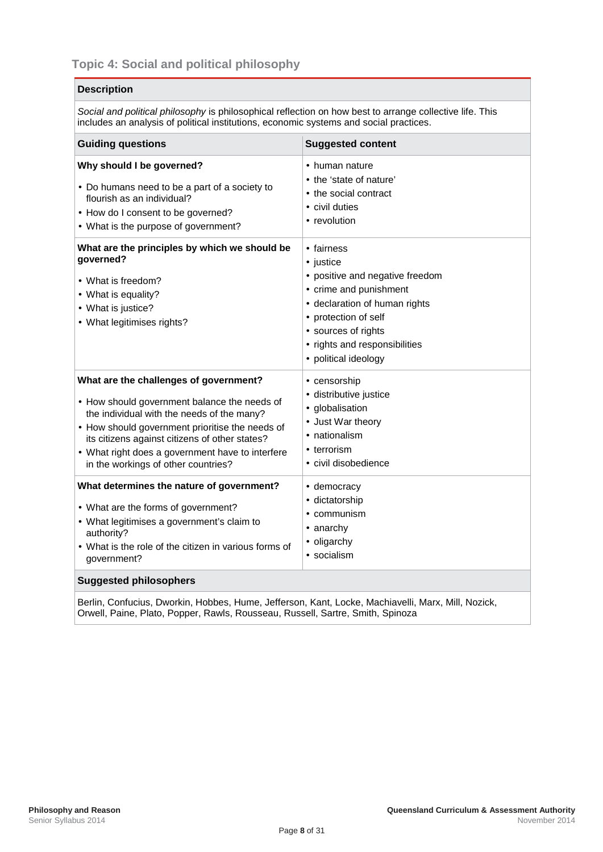<span id="page-11-0"></span>*Social and political philosophy* is philosophical reflection on how best to arrange collective life. This includes an analysis of political institutions, economic systems and social practices.

| <b>Guiding questions</b>                                                                                                                                    | <b>Suggested content</b>                                                                                                                                                                                                |  |
|-------------------------------------------------------------------------------------------------------------------------------------------------------------|-------------------------------------------------------------------------------------------------------------------------------------------------------------------------------------------------------------------------|--|
| Why should I be governed?                                                                                                                                   | · human nature                                                                                                                                                                                                          |  |
| Do humans need to be a part of a society to                                                                                                                 | the 'state of nature'                                                                                                                                                                                                   |  |
| flourish as an individual?                                                                                                                                  | the social contract                                                                                                                                                                                                     |  |
| - How do I consent to be governed?                                                                                                                          | civil duties                                                                                                                                                                                                            |  |
| · What is the purpose of government?                                                                                                                        | · revolution                                                                                                                                                                                                            |  |
| What are the principles by which we should be<br>governed?<br>· What is freedom?<br>· What is equality?<br>· What is justice?<br>· What legitimises rights? | · fairness<br>· justice<br>positive and negative freedom<br>crime and punishment<br>- declaration of human rights<br>protection of self<br>· sources of rights<br>· rights and responsibilities<br>· political ideology |  |
| What are the challenges of government?                                                                                                                      | · censorship                                                                                                                                                                                                            |  |
| - How should government balance the needs of                                                                                                                | · distributive justice                                                                                                                                                                                                  |  |
| the individual with the needs of the many?                                                                                                                  | · globalisation                                                                                                                                                                                                         |  |
| - How should government prioritise the needs of                                                                                                             | . Just War theory                                                                                                                                                                                                       |  |
| its citizens against citizens of other states?                                                                                                              | · nationalism                                                                                                                                                                                                           |  |
| What right does a government have to interfere                                                                                                              | · terrorism                                                                                                                                                                                                             |  |
| in the workings of other countries?                                                                                                                         | · civil disobedience                                                                                                                                                                                                    |  |
| What determines the nature of government?                                                                                                                   | · democracy                                                                                                                                                                                                             |  |
| · What are the forms of government?                                                                                                                         | dictatorship                                                                                                                                                                                                            |  |
| What legitimises a government's claim to                                                                                                                    | communism                                                                                                                                                                                                               |  |
| authority?                                                                                                                                                  | anarchy                                                                                                                                                                                                                 |  |
| What is the role of the citizen in various forms of                                                                                                         | oligarchy                                                                                                                                                                                                               |  |
| government?                                                                                                                                                 | · socialism                                                                                                                                                                                                             |  |
| <b>Suggested philosophers</b>                                                                                                                               |                                                                                                                                                                                                                         |  |

Berlin, Confucius, Dworkin, Hobbes, Hume, Jefferson, Kant, Locke, Machiavelli, Marx, Mill, Nozick, Orwell, Paine, Plato, Popper, Rawls, Rousseau, Russell, Sartre, Smith, Spinoza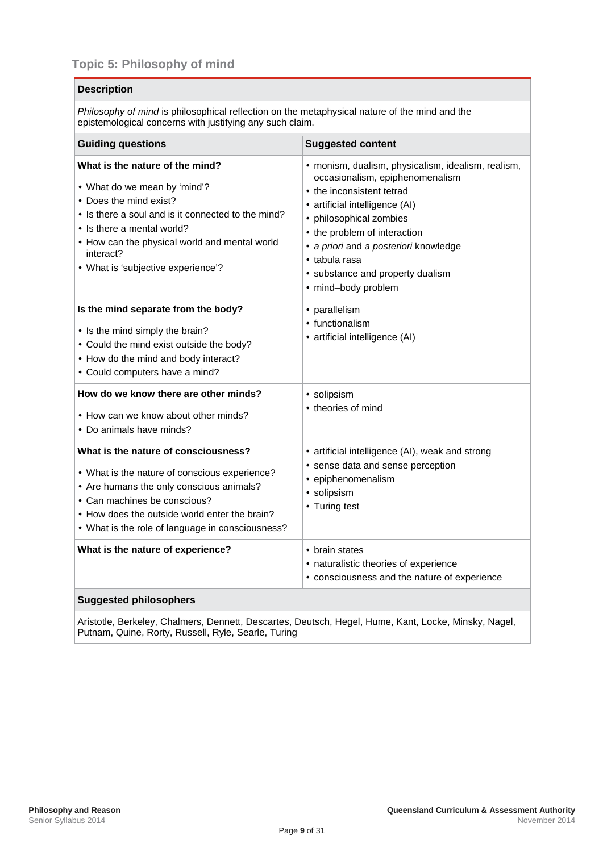<span id="page-12-0"></span>*Philosophy of mind* is philosophical reflection on the metaphysical nature of the mind and the epistemological concerns with justifying any such claim.

| <b>Guiding questions</b>                                                                                                                                                                                                                                                      | <b>Suggested content</b>                                                                                                                                                                                                                                                                                                 |  |
|-------------------------------------------------------------------------------------------------------------------------------------------------------------------------------------------------------------------------------------------------------------------------------|--------------------------------------------------------------------------------------------------------------------------------------------------------------------------------------------------------------------------------------------------------------------------------------------------------------------------|--|
| What is the nature of the mind?<br>· What do we mean by 'mind'?<br>Does the mind exist?<br>I is there a soul and is it connected to the mind?<br>· Is there a mental world?<br>How can the physical world and mental world<br>interact?<br>· What is 'subjective experience'? | · monism, dualism, physicalism, idealism, realism,<br>occasionalism, epiphenomenalism<br>the inconsistent tetrad<br>artificial intelligence (AI)<br>philosophical zombies<br>the problem of interaction<br>a priori and a posteriori knowledge<br>· tabula rasa<br>· substance and property dualism<br>mind-body problem |  |
| Is the mind separate from the body?<br>· Is the mind simply the brain?<br>Could the mind exist outside the body?<br>How do the mind and body interact?<br>Could computers have a mind?                                                                                        | · parallelism<br>functionalism<br>· artificial intelligence (AI)                                                                                                                                                                                                                                                         |  |
| How do we know there are other minds?<br>· How can we know about other minds?<br>Do animals have minds?                                                                                                                                                                       | · solipsism<br>theories of mind                                                                                                                                                                                                                                                                                          |  |
| What is the nature of consciousness?<br>What is the nature of conscious experience?<br>Are humans the only conscious animals?<br>Can machines be conscious?<br>How does the outside world enter the brain?<br>What is the role of language in consciousness?                  | · artificial intelligence (AI), weak and strong<br>sense data and sense perception<br>epiphenomenalism<br>· solipsism<br>· Turing test                                                                                                                                                                                   |  |
| What is the nature of experience?                                                                                                                                                                                                                                             | · brain states<br>· naturalistic theories of experience<br>consciousness and the nature of experience                                                                                                                                                                                                                    |  |
| <b>Suggested philosophers</b>                                                                                                                                                                                                                                                 |                                                                                                                                                                                                                                                                                                                          |  |

Aristotle, Berkeley, Chalmers, Dennett, Descartes, Deutsch, Hegel, Hume, Kant, Locke, Minsky, Nagel, Putnam, Quine, Rorty, Russell, Ryle, Searle, Turing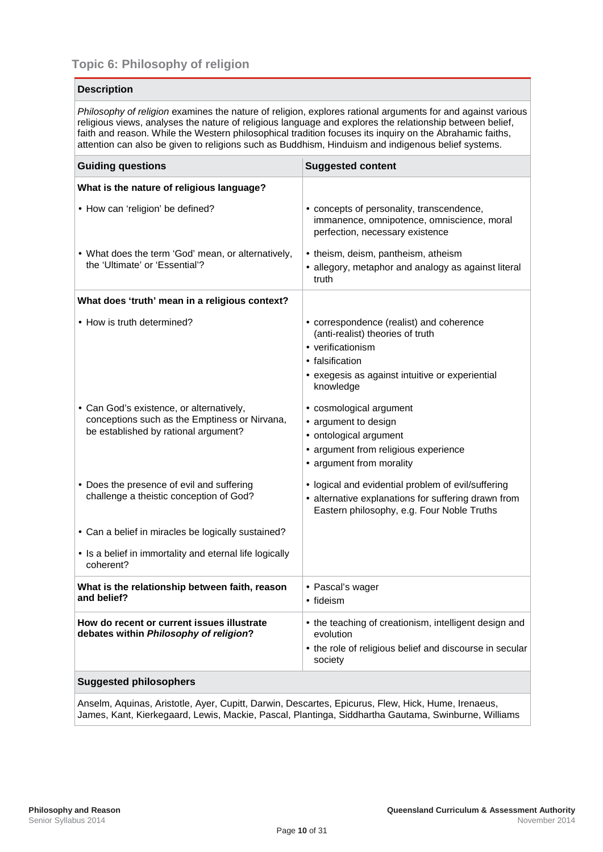<span id="page-13-0"></span>

| <b>Description</b>                                                                                                                                                                                                                                                                                                                                                                                                                        |                                                                                                                                                                                  |  |  |
|-------------------------------------------------------------------------------------------------------------------------------------------------------------------------------------------------------------------------------------------------------------------------------------------------------------------------------------------------------------------------------------------------------------------------------------------|----------------------------------------------------------------------------------------------------------------------------------------------------------------------------------|--|--|
| Philosophy of religion examines the nature of religion, explores rational arguments for and against various<br>religious views, analyses the nature of religious language and explores the relationship between belief,<br>faith and reason. While the Western philosophical tradition focuses its inquiry on the Abrahamic faiths,<br>attention can also be given to religions such as Buddhism, Hinduism and indigenous belief systems. |                                                                                                                                                                                  |  |  |
| <b>Guiding questions</b>                                                                                                                                                                                                                                                                                                                                                                                                                  | <b>Suggested content</b>                                                                                                                                                         |  |  |
| What is the nature of religious language?                                                                                                                                                                                                                                                                                                                                                                                                 |                                                                                                                                                                                  |  |  |
| · How can 'religion' be defined?                                                                                                                                                                                                                                                                                                                                                                                                          | concepts of personality, transcendence,<br>immanence, omnipotence, omniscience, moral<br>perfection, necessary existence                                                         |  |  |
| What does the term 'God' mean, or alternatively,<br>the 'Ultimate' or 'Essential'?                                                                                                                                                                                                                                                                                                                                                        | theism, deism, pantheism, atheism<br>allegory, metaphor and analogy as against literal<br>truth                                                                                  |  |  |
| What does 'truth' mean in a religious context?                                                                                                                                                                                                                                                                                                                                                                                            |                                                                                                                                                                                  |  |  |
| · How is truth determined?                                                                                                                                                                                                                                                                                                                                                                                                                | correspondence (realist) and coherence<br>(anti-realist) theories of truth<br>· verificationism<br>· falsification<br>exegesis as against intuitive or experiential<br>knowledge |  |  |
| Can God's existence, or alternatively,<br>conceptions such as the Emptiness or Nirvana,<br>be established by rational argument?                                                                                                                                                                                                                                                                                                           | cosmological argument<br>argument to design<br>ontological argument<br>argument from religious experience<br>argument from morality                                              |  |  |
| Does the presence of evil and suffering<br>challenge a theistic conception of God?                                                                                                                                                                                                                                                                                                                                                        | logical and evidential problem of evil/suffering<br>alternative explanations for suffering drawn from<br>ä,<br>Eastern philosophy, e.g. Four Noble Truths                        |  |  |
| Can a belief in miracles be logically sustained?                                                                                                                                                                                                                                                                                                                                                                                          |                                                                                                                                                                                  |  |  |
| · Is a belief in immortality and eternal life logically<br>coherent?                                                                                                                                                                                                                                                                                                                                                                      |                                                                                                                                                                                  |  |  |
| What is the relationship between faith, reason<br>and belief?                                                                                                                                                                                                                                                                                                                                                                             | · Pascal's wager<br>· fideism                                                                                                                                                    |  |  |
| How do recent or current issues illustrate<br>debates within Philosophy of religion?                                                                                                                                                                                                                                                                                                                                                      | the teaching of creationism, intelligent design and<br>evolution<br>the role of religious belief and discourse in secular<br>society                                             |  |  |
| <b>Suggested philosophers</b>                                                                                                                                                                                                                                                                                                                                                                                                             |                                                                                                                                                                                  |  |  |

Anselm, Aquinas, Aristotle, Ayer, Cupitt, Darwin, Descartes, Epicurus, Flew, Hick, Hume, Irenaeus, James, Kant, Kierkegaard, Lewis, Mackie, Pascal, Plantinga, Siddhartha Gautama, Swinburne, Williams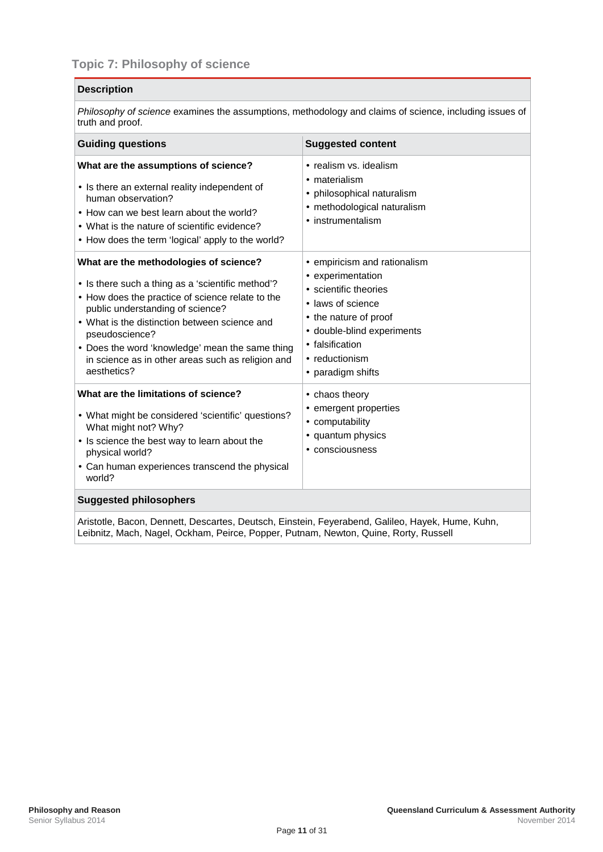<span id="page-14-0"></span>*Philosophy of science* examines the assumptions, methodology and claims of science, including issues of truth and proof.

| <b>Guiding questions</b>                                                                                                                                                                                                                                                                                                                                                  | <b>Suggested content</b>                                                                                                                                                                                        |  |
|---------------------------------------------------------------------------------------------------------------------------------------------------------------------------------------------------------------------------------------------------------------------------------------------------------------------------------------------------------------------------|-----------------------------------------------------------------------------------------------------------------------------------------------------------------------------------------------------------------|--|
| What are the assumptions of science?<br>· Is there an external reality independent of<br>human observation?<br>How can we best learn about the world?<br>· What is the nature of scientific evidence?<br>How does the term 'logical' apply to the world?                                                                                                                  | · realism vs. idealism<br>· materialism<br>philosophical naturalism<br>methodological naturalism<br>×.<br>instrumentalism                                                                                       |  |
| What are the methodologies of science?<br>· Is there such a thing as a 'scientific method'?<br>How does the practice of science relate to the<br>public understanding of science?<br>· What is the distinction between science and<br>pseudoscience?<br>Does the word 'knowledge' mean the same thing<br>in science as in other areas such as religion and<br>aesthetics? | empiricism and rationalism<br>experimentation<br>· scientific theories<br>laws of science<br>ä.<br>the nature of proof<br>٠<br>double-blind experiments<br>falsification<br>· reductionism<br>· paradigm shifts |  |
| What are the limitations of science?<br>What might be considered 'scientific' questions?<br>What might not? Why?<br>Is science the best way to learn about the<br>physical world?<br>Can human experiences transcend the physical<br>world?                                                                                                                               | chaos theory .<br>emergent properties<br>computability<br>quantum physics<br>· consciousness                                                                                                                    |  |
| <b>Suggested philosophers</b>                                                                                                                                                                                                                                                                                                                                             |                                                                                                                                                                                                                 |  |

Aristotle, Bacon, Dennett, Descartes, Deutsch, Einstein, Feyerabend, Galileo, Hayek, Hume, Kuhn, Leibnitz, Mach, Nagel, Ockham, Peirce, Popper, Putnam, Newton, Quine, Rorty, Russell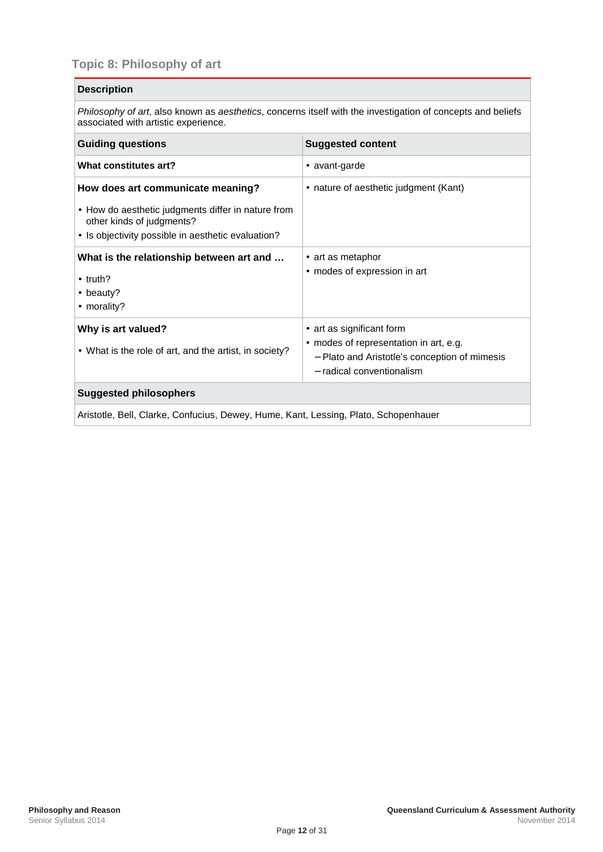## <span id="page-15-0"></span>**Topic 8: Philosophy of art**

#### **Description**

*Philosophy of art*, also known as *aesthetics*, concerns itself with the investigation of concepts and beliefs associated with artistic experience.

| <b>Guiding questions</b>                                                                                                                                                   | <b>Suggested content</b>                                                                                                                      |  |
|----------------------------------------------------------------------------------------------------------------------------------------------------------------------------|-----------------------------------------------------------------------------------------------------------------------------------------------|--|
| What constitutes art?                                                                                                                                                      | · avant-garde                                                                                                                                 |  |
| How does art communicate meaning?<br>• How do aesthetic judgments differ in nature from<br>other kinds of judgments?<br>· Is objectivity possible in aesthetic evaluation? | nature of aesthetic judgment (Kant)                                                                                                           |  |
| What is the relationship between art and<br>truth? .<br>beauty?<br>morality?                                                                                               | · art as metaphor<br>modes of expression in art                                                                                               |  |
| Why is art valued?<br>What is the role of art, and the artist, in society?                                                                                                 | art as significant form<br>modes of representation in art, e.g.<br>- Plato and Aristotle's conception of mimesis<br>- radical conventionalism |  |
| <b>Suggested philosophers</b>                                                                                                                                              |                                                                                                                                               |  |
| Aristotle, Bell, Clarke, Confucius, Dewey, Hume, Kant, Lessing, Plato, Schopenhauer                                                                                        |                                                                                                                                               |  |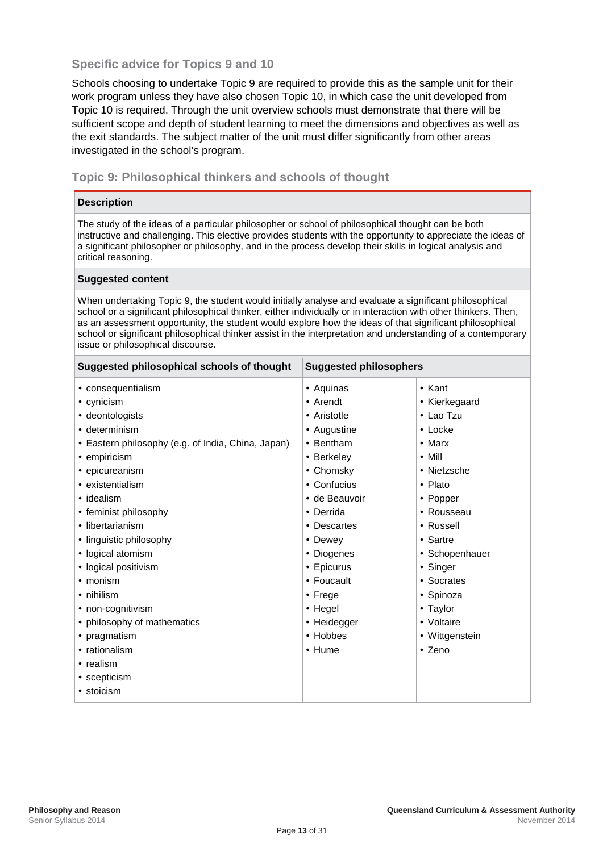#### <span id="page-16-0"></span>**Specific advice for Topics 9 and 10**

Schools choosing to undertake Topic 9 are required to provide this as the sample unit for their work program unless they have also chosen Topic 10, in which case the unit developed from Topic 10 is required. Through the unit overview schools must demonstrate that there will be sufficient scope and depth of student learning to meet the dimensions and objectives as well as the exit standards. The subject matter of the unit must differ significantly from other areas investigated in the school's program.

#### <span id="page-16-1"></span>**Topic 9: Philosophical thinkers and schools of thought**

#### **Description**

The study of the ideas of a particular philosopher or school of philosophical thought can be both instructive and challenging. This elective provides students with the opportunity to appreciate the ideas of a significant philosopher or philosophy, and in the process develop their skills in logical analysis and critical reasoning.

#### **Suggested content**

When undertaking Topic 9, the student would initially analyse and evaluate a significant philosophical school or a significant philosophical thinker, either individually or in interaction with other thinkers. Then, as an assessment opportunity, the student would explore how the ideas of that significant philosophical school or significant philosophical thinker assist in the interpretation and understanding of a contemporary issue or philosophical discourse.

| Suggested philosophical schools of thought                                                                                                                                                                                                                                                                  | <b>Suggested philosophers</b>                                                                                                                                                       |                                                                                                                                                                          |
|-------------------------------------------------------------------------------------------------------------------------------------------------------------------------------------------------------------------------------------------------------------------------------------------------------------|-------------------------------------------------------------------------------------------------------------------------------------------------------------------------------------|--------------------------------------------------------------------------------------------------------------------------------------------------------------------------|
| consequentialism<br>cynicism<br>deontologists<br>determinism<br>Eastern philosophy (e.g. of India, China, Japan)                                                                                                                                                                                            | Aquinas<br>Arendt<br>Aristotle<br>Augustine<br>Bentham                                                                                                                              | · Kant<br>Kierkegaard<br>Lao Tzu<br>· Locke<br>Marx<br>Mill                                                                                                              |
| empiricism<br>epicureanism<br>existentialism<br>idealism<br>feminist philosophy<br>libertarianism<br>linguistic philosophy<br>logical atomism<br>logical positivism<br>monism<br>nihilism<br>non-cognitivism<br>philosophy of mathematics<br>pragmatism<br>rationalism<br>realism<br>scepticism<br>stoicism | <b>Berkeley</b><br>Chomsky<br>Confucius<br>de Beauvoir<br>Derrida<br><b>Descartes</b><br>Dewey<br>Diogenes<br>Epicurus<br>Foucault<br>Frege<br>Hegel<br>Heidegger<br>Hobbes<br>Hume | Nietzsche<br>· Plato<br>Popper<br>Rousseau<br>Russell<br>· Sartre<br>· Schopenhauer<br>· Singer<br>Socrates<br>Spinoza<br>· Taylor<br>Voltaire<br>Wittgenstein<br>· Zeno |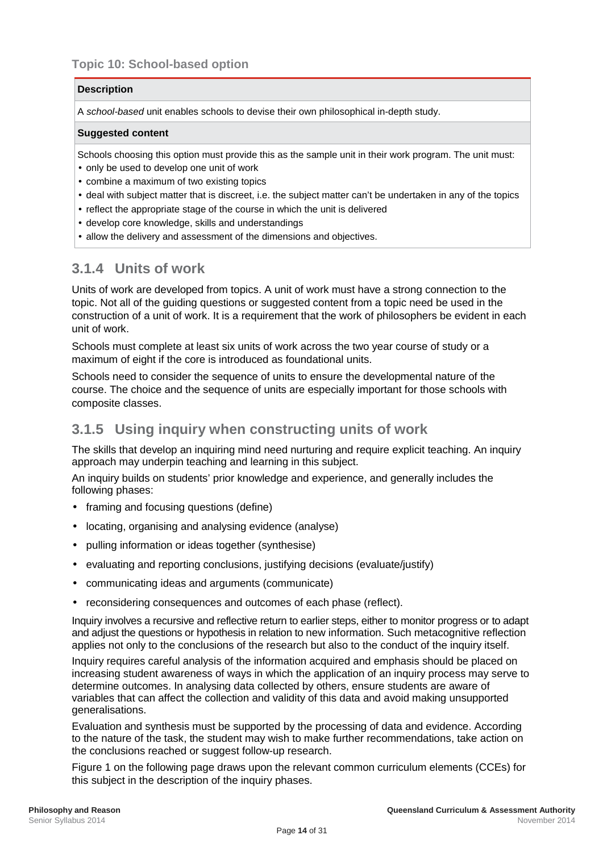<span id="page-17-0"></span>A *school-based* unit enables schools to devise their own philosophical in-depth study.

#### **Suggested content**

Schools choosing this option must provide this as the sample unit in their work program. The unit must:

- $\cdot$  only be used to develop one unit of work
- combine a maximum of two existing topics
- deal with subject matter that is discreet, i.e. the subject matter can't be undertaken in any of the topics
- $\cdot$  reflect the appropriate stage of the course in which the unit is delivered
- develop core knowledge, skills and understandings
- allow the delivery and assessment of the dimensions and objectives.

## <span id="page-17-1"></span>**3.1.4 Units of work**

Units of work are developed from topics. A unit of work must have a strong connection to the topic. Not all of the guiding questions or suggested content from a topic need be used in the construction of a unit of work. It is a requirement that the work of philosophers be evident in each unit of work.

Schools must complete at least six units of work across the two year course of study or a maximum of eight if the core is introduced as foundational units.

Schools need to consider the sequence of units to ensure the developmental nature of the course. The choice and the sequence of units are especially important for those schools with composite classes.

## <span id="page-17-2"></span>**3.1.5 Using inquiry when constructing units of work**

The skills that develop an inquiring mind need nurturing and require explicit teaching. An inquiry approach may underpin teaching and learning in this subject.

An inquiry builds on students' prior knowledge and experience, and generally includes the following phases:

- framing and focusing questions (define)
- locating, organising and analysing evidence (analyse)
- pulling information or ideas together (synthesise)
- evaluating and reporting conclusions, justifying decisions (evaluate/justify)
- communicating ideas and arguments (communicate)
- reconsidering consequences and outcomes of each phase (reflect).

Inquiry involves a recursive and reflective return to earlier steps, either to monitor progress or to adapt and adjust the questions or hypothesis in relation to new information. Such metacognitive reflection applies not only to the conclusions of the research but also to the conduct of the inquiry itself.

Inquiry requires careful analysis of the information acquired and emphasis should be placed on increasing student awareness of ways in which the application of an inquiry process may serve to determine outcomes. In analysing data collected by others, ensure students are aware of variables that can affect the collection and validity of this data and avoid making unsupported generalisations.

Evaluation and synthesis must be supported by the processing of data and evidence. According to the nature of the task, the student may wish to make further recommendations, take action on the conclusions reached or suggest follow-up research.

Figure 1 on the following page draws upon the relevant common curriculum elements (CCEs) for this subject in the description of the inquiry phases.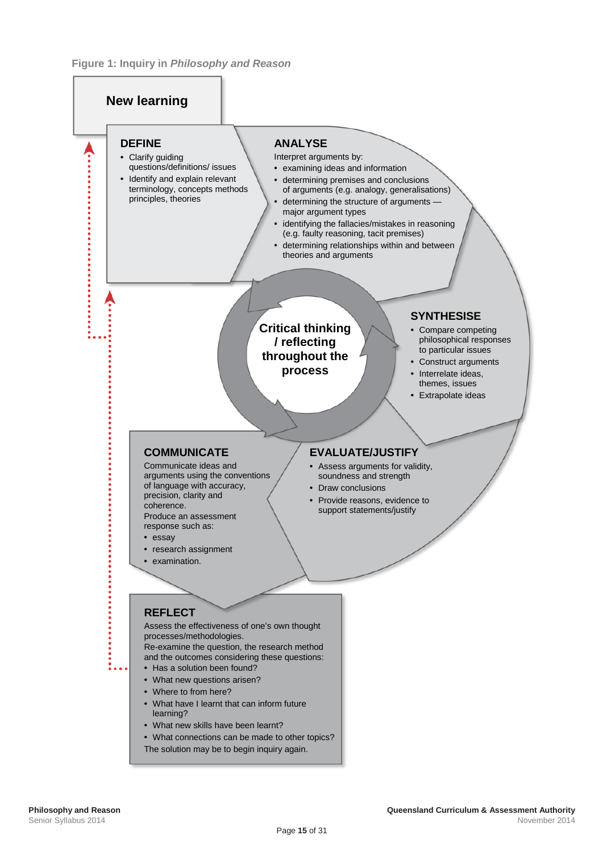#### **Figure 1: Inquiry in** *Philosophy and Reason*

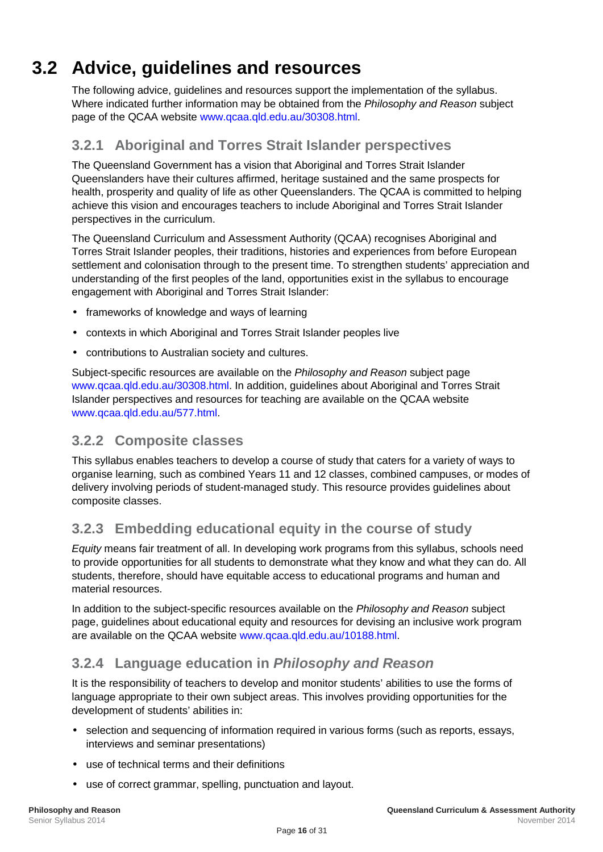# **3.2 Advice, guidelines and resources**

<span id="page-19-0"></span>The following advice, guidelines and resources support the implementation of the syllabus. Where indicated further information may be obtained from the *Philosophy and Reason* subject page of the QCAA website [www.qcaa.qld.edu.au/30308.html.](http://www.qcaa.qld.edu.au/30308.html)

## <span id="page-19-1"></span>**3.2.1 Aboriginal and Torres Strait Islander perspectives**

The Queensland Government has a vision that Aboriginal and Torres Strait Islander Queenslanders have their cultures affirmed, heritage sustained and the same prospects for health, prosperity and quality of life as other Queenslanders. The QCAA is committed to helping achieve this vision and encourages teachers to include Aboriginal and Torres Strait Islander perspectives in the curriculum.

The Queensland Curriculum and Assessment Authority (QCAA) recognises Aboriginal and Torres Strait Islander peoples, their traditions, histories and experiences from before European settlement and colonisation through to the present time. To strengthen students' appreciation and understanding of the first peoples of the land, opportunities exist in the syllabus to encourage engagement with Aboriginal and Torres Strait Islander:

- frameworks of knowledge and ways of learning
- contexts in which Aboriginal and Torres Strait Islander peoples live
- contributions to Australian society and cultures.

Subject-specific resources are available on the *Philosophy and Reason* subject page [www.qcaa.qld.edu.au/30308.html.](http://www.qcaa.qld.edu.au/30308.html) In addition, guidelines about Aboriginal and Torres Strait Islander perspectives and resources for teaching are available on the QCAA website [www.qcaa.qld.edu.au/577.html.](http://www.qcaa.qld.edu.au/577.html)

## <span id="page-19-2"></span>**3.2.2 Composite classes**

This syllabus enables teachers to develop a course of study that caters for a variety of ways to organise learning, such as combined Years 11 and 12 classes, combined campuses, or modes of delivery involving periods of student-managed study. This resource provides guidelines about composite classes.

## <span id="page-19-3"></span>**3.2.3 Embedding educational equity in the course of study**

*Equity* means fair treatment of all. In developing work programs from this syllabus, schools need to provide opportunities for all students to demonstrate what they know and what they can do. All students, therefore, should have equitable access to educational programs and human and material resources.

In addition to the subject-specific resources available on the *Philosophy and Reason* subject page, guidelines about educational equity and resources for devising an inclusive work program are available on the QCAA website [www.qcaa.qld.edu.au/10188.html.](http://www.qcaa.qld.edu.au/10188.html)

## <span id="page-19-4"></span>**3.2.4 Language education in** *Philosophy and Reason*

It is the responsibility of teachers to develop and monitor students' abilities to use the forms of language appropriate to their own subject areas. This involves providing opportunities for the development of students' abilities in:

- selection and sequencing of information required in various forms (such as reports, essays, interviews and seminar presentations)
- use of technical terms and their definitions
- use of correct grammar, spelling, punctuation and layout.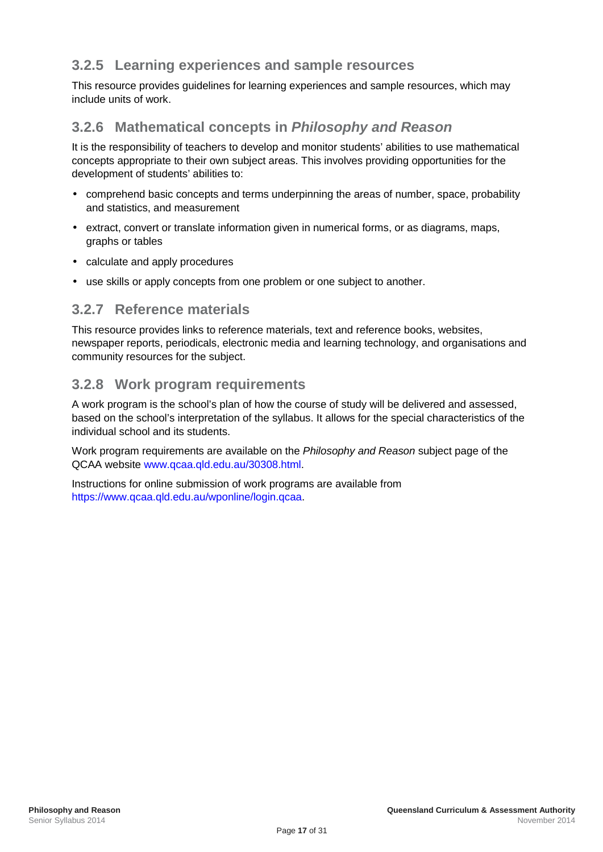## <span id="page-20-0"></span>**3.2.5 Learning experiences and sample resources**

This resource provides guidelines for learning experiences and sample resources, which may include units of work.

## <span id="page-20-1"></span>**3.2.6 Mathematical concepts in** *Philosophy and Reason*

It is the responsibility of teachers to develop and monitor students' abilities to use mathematical concepts appropriate to their own subject areas. This involves providing opportunities for the development of students' abilities to:

- comprehend basic concepts and terms underpinning the areas of number, space, probability and statistics, and measurement
- extract, convert or translate information given in numerical forms, or as diagrams, maps, graphs or tables
- calculate and apply procedures
- use skills or apply concepts from one problem or one subject to another.

### <span id="page-20-2"></span>**3.2.7 Reference materials**

This resource provides links to reference materials, text and reference books, websites, newspaper reports, periodicals, electronic media and learning technology, and organisations and community resources for the subject.

## <span id="page-20-3"></span>**3.2.8 Work program requirements**

A work program is the school's plan of how the course of study will be delivered and assessed, based on the school's interpretation of the syllabus. It allows for the special characteristics of the individual school and its students.

Work program requirements are available on the *Philosophy and Reason* subject page of the QCAA website [www.qcaa.qld.edu.au/30308.html.](http://www.qcaa.qld.edu.au/30308.html)

Instructions for online submission of work programs are available from [https://www.qcaa.qld.edu.au/wponline/login.qcaa.](https://www.qcaa.qld.edu.au/wponline/login.qcaa)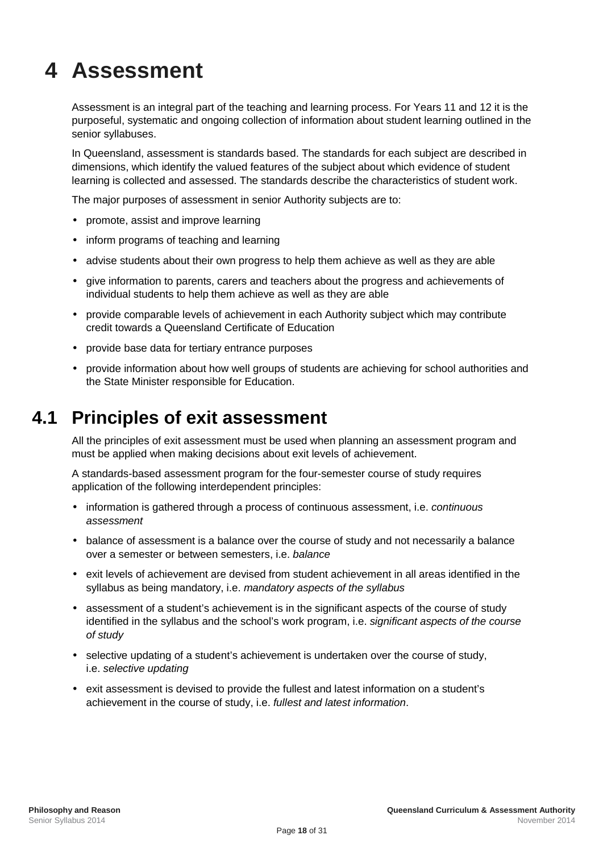# <span id="page-21-0"></span>**4 Assessment**

Assessment is an integral part of the teaching and learning process. For Years 11 and 12 it is the purposeful, systematic and ongoing collection of information about student learning outlined in the senior syllabuses.

In Queensland, assessment is standards based. The standards for each subject are described in dimensions, which identify the valued features of the subject about which evidence of student learning is collected and assessed. The standards describe the characteristics of student work.

The major purposes of assessment in senior Authority subjects are to:

- promote, assist and improve learning
- inform programs of teaching and learning
- advise students about their own progress to help them achieve as well as they are able
- give information to parents, carers and teachers about the progress and achievements of individual students to help them achieve as well as they are able
- provide comparable levels of achievement in each Authority subject which may contribute credit towards a Queensland Certificate of Education
- provide base data for tertiary entrance purposes
- <span id="page-21-1"></span>provide information about how well groups of students are achieving for school authorities and the State Minister responsible for Education.

## **4.1 Principles of exit assessment**

All the principles of exit assessment must be used when planning an assessment program and must be applied when making decisions about exit levels of achievement.

A standards-based assessment program for the four-semester course of study requires application of the following interdependent principles:

- information is gathered through a process of continuous assessment, i.e. *continuous assessment*
- balance of assessment is a balance over the course of study and not necessarily a balance over a semester or between semesters, i.e. *balance*
- exit levels of achievement are devised from student achievement in all areas identified in the syllabus as being mandatory, i.e. *mandatory aspects of the syllabus*
- assessment of a student's achievement is in the significant aspects of the course of study identified in the syllabus and the school's work program, i.e. *significant aspects of the course of study*
- selective updating of a student's achievement is undertaken over the course of study, i.e. *selective updating*
- exit assessment is devised to provide the fullest and latest information on a student's achievement in the course of study, i.e. *fullest and latest information*.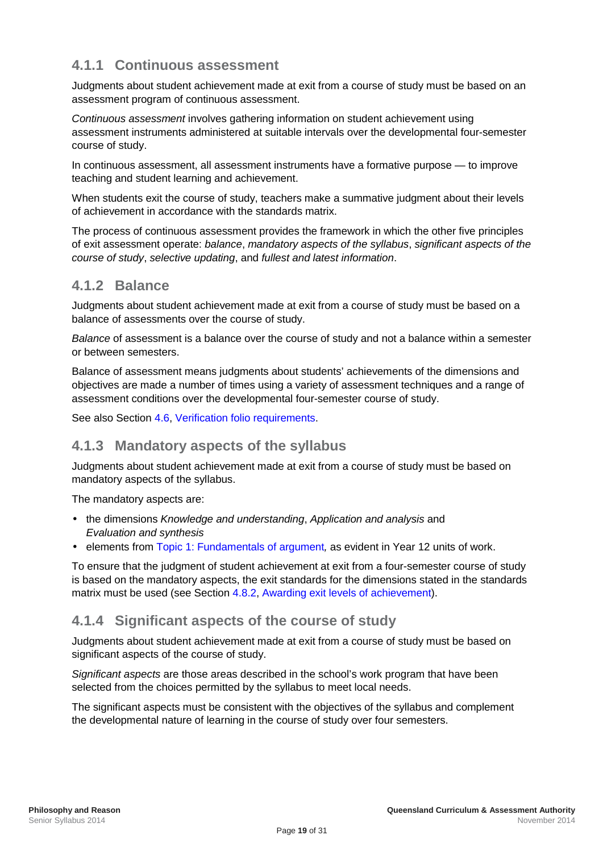## <span id="page-22-0"></span>**4.1.1 Continuous assessment**

Judgments about student achievement made at exit from a course of study must be based on an assessment program of continuous assessment.

*Continuous assessment* involves gathering information on student achievement using assessment instruments administered at suitable intervals over the developmental four-semester course of study.

In continuous assessment, all assessment instruments have a formative purpose — to improve teaching and student learning and achievement.

When students exit the course of study, teachers make a summative judgment about their levels of achievement in accordance with the standards matrix.

The process of continuous assessment provides the framework in which the other five principles of exit assessment operate: *balance*, *mandatory aspects of the syllabus*, *significant aspects of the course of study*, *selective updating*, and *fullest and latest information*.

### <span id="page-22-1"></span>**4.1.2 Balance**

Judgments about student achievement made at exit from a course of study must be based on a balance of assessments over the course of study.

*Balance* of assessment is a balance over the course of study and not a balance within a semester or between semesters.

Balance of assessment means judgments about students' achievements of the dimensions and objectives are made a number of times using a variety of assessment techniques and a range of assessment conditions over the developmental four-semester course of study.

See also Section [4.6, Verification folio requirements.](#page-29-0)

## <span id="page-22-2"></span>**4.1.3 Mandatory aspects of the syllabus**

Judgments about student achievement made at exit from a course of study must be based on mandatory aspects of the syllabus.

The mandatory aspects are:

- the dimensions *Knowledge and understanding*, *Application and analysis* and *Evaluation and synthesis*
- elements from [Topic 1: Fundamentals of argument](#page-8-0)*,* as evident in Year 12 units of work.

To ensure that the judgment of student achievement at exit from a four-semester course of study is based on the mandatory aspects, the exit standards for the dimensions stated in the standards matrix must be used (see Section [4.8.2, Awarding exit levels of achievement\)](#page-30-2).

### <span id="page-22-3"></span>**4.1.4 Significant aspects of the course of study**

Judgments about student achievement made at exit from a course of study must be based on significant aspects of the course of study.

*Significant aspects* are those areas described in the school's work program that have been selected from the choices permitted by the syllabus to meet local needs.

The significant aspects must be consistent with the objectives of the syllabus and complement the developmental nature of learning in the course of study over four semesters.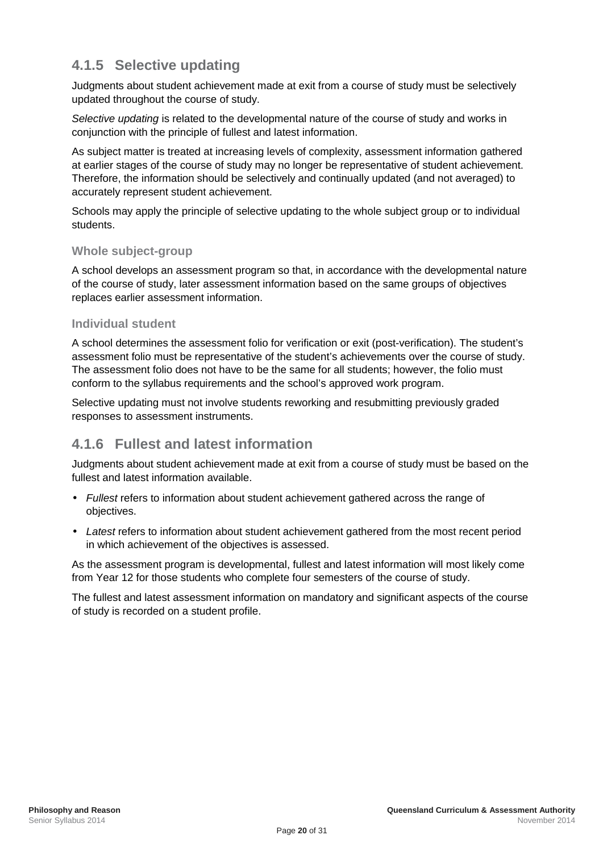## <span id="page-23-0"></span>**4.1.5 Selective updating**

Judgments about student achievement made at exit from a course of study must be selectively updated throughout the course of study.

*Selective updating* is related to the developmental nature of the course of study and works in conjunction with the principle of fullest and latest information.

As subject matter is treated at increasing levels of complexity, assessment information gathered at earlier stages of the course of study may no longer be representative of student achievement. Therefore, the information should be selectively and continually updated (and not averaged) to accurately represent student achievement.

Schools may apply the principle of selective updating to the whole subject group or to individual students.

#### **Whole subject-group**

A school develops an assessment program so that, in accordance with the developmental nature of the course of study, later assessment information based on the same groups of objectives replaces earlier assessment information.

#### **Individual student**

A school determines the assessment folio for verification or exit (post-verification). The student's assessment folio must be representative of the student's achievements over the course of study. The assessment folio does not have to be the same for all students; however, the folio must conform to the syllabus requirements and the school's approved work program.

Selective updating must not involve students reworking and resubmitting previously graded responses to assessment instruments.

## <span id="page-23-1"></span>**4.1.6 Fullest and latest information**

Judgments about student achievement made at exit from a course of study must be based on the fullest and latest information available.

- *Fullest* refers to information about student achievement gathered across the range of objectives.
- *Latest* refers to information about student achievement gathered from the most recent period in which achievement of the objectives is assessed.

As the assessment program is developmental, fullest and latest information will most likely come from Year 12 for those students who complete four semesters of the course of study.

The fullest and latest assessment information on mandatory and significant aspects of the course of study is recorded on a student profile.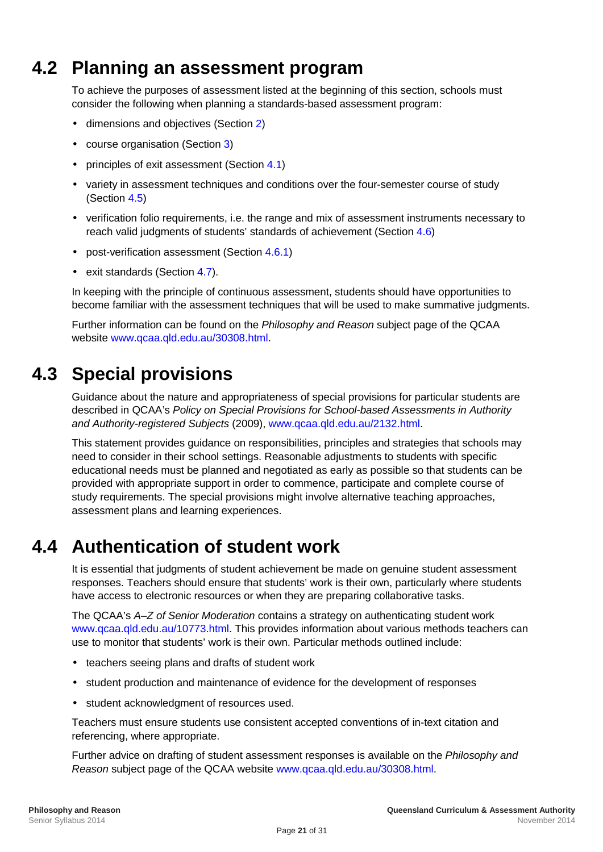## **4.2 Planning an assessment program**

<span id="page-24-0"></span>To achieve the purposes of assessment listed at the beginning of this section, schools must consider the following when planning a standards-based assessment program:

- dimensions and objectives (Section [2\)](#page-5-0)
- course organisation (Section [3\)](#page-7-0)
- principles of exit assessment (Section [4.1\)](#page-21-1)
- variety in assessment techniques and conditions over the four-semester course of study (Section [4.5\)](#page-25-0)
- verification folio requirements, i.e. the range and mix of assessment instruments necessary to reach valid judgments of students' standards of achievement (Section [4.6\)](#page-29-0)
- post-verification assessment (Section [4.6.1\)](#page-29-1)
- exit standards (Section [4.7\)](#page-29-2).

In keeping with the principle of continuous assessment, students should have opportunities to become familiar with the assessment techniques that will be used to make summative judgments.

<span id="page-24-1"></span>Further information can be found on the *Philosophy and Reason* subject page of the QCAA website [www.qcaa.qld.edu.au/30308.html.](http://www.qcaa.qld.edu.au/30308.html)

# **4.3 Special provisions**

Guidance about the nature and appropriateness of special provisions for particular students are described in QCAA's *Policy on Special Provisions for School-based Assessments in Authority and Authority-registered Subjects* (2009), [www.qcaa.qld.edu.au/2132.html.](http://www.qcaa.qld.edu.au/2132.html)

This statement provides guidance on responsibilities, principles and strategies that schools may need to consider in their school settings. Reasonable adjustments to students with specific educational needs must be planned and negotiated as early as possible so that students can be provided with appropriate support in order to commence, participate and complete course of study requirements. The special provisions might involve alternative teaching approaches, assessment plans and learning experiences.

## **4.4 Authentication of student work**

<span id="page-24-2"></span>It is essential that judgments of student achievement be made on genuine student assessment responses. Teachers should ensure that students' work is their own, particularly where students have access to electronic resources or when they are preparing collaborative tasks.

The QCAA's *A–Z of Senior Moderation* contains a strategy on authenticating student work [www.qcaa.qld.edu.au/10773.html.](http://www.qcaa.qld.edu.au/10773.html) This provides information about various methods teachers can use to monitor that students' work is their own. Particular methods outlined include:

- teachers seeing plans and drafts of student work
- student production and maintenance of evidence for the development of responses
- student acknowledgment of resources used.

Teachers must ensure students use consistent accepted conventions of in-text citation and referencing, where appropriate.

Further advice on drafting of student assessment responses is available on the *Philosophy and Reason* subject page of the QCAA website [www.qcaa.qld.edu.au/30308.html.](http://www.qcaa.qld.edu.au/30308.html)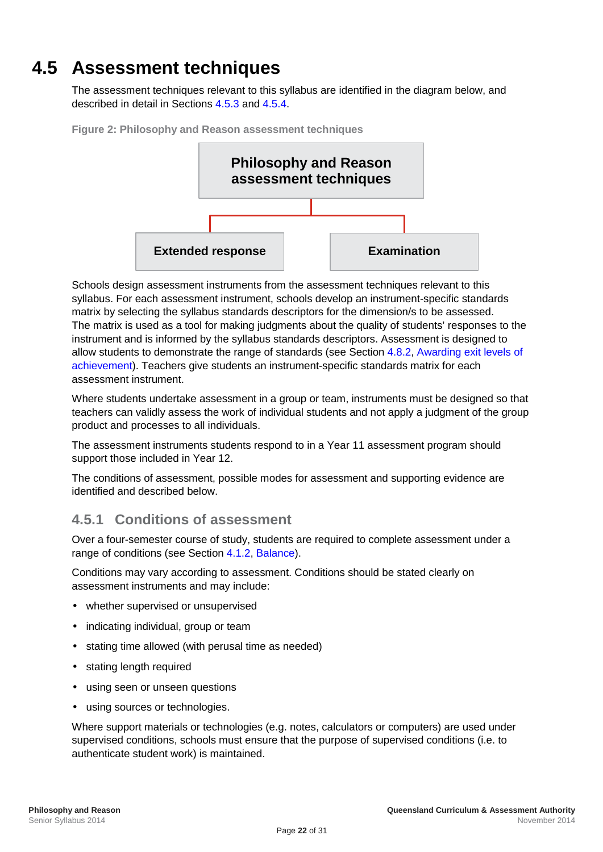# **4.5 Assessment techniques**

<span id="page-25-0"></span>The assessment techniques relevant to this syllabus are identified in the diagram below, and described in detail in Section[s 4.5.3](#page-27-0) and [4.5.4.](#page-28-0)





Schools design assessment instruments from the assessment techniques relevant to this syllabus. For each assessment instrument, schools develop an instrument-specific standards matrix by selecting the syllabus standards descriptors for the dimension/s to be assessed. The matrix is used as a tool for making judgments about the quality of students' responses to the instrument and is informed by the syllabus standards descriptors. Assessment is designed to allow students to demonstrate the range of standards (see Section [4.8.2, Awarding exit levels of](#page-30-2)  [achievement\)](#page-30-2). Teachers give students an instrument-specific standards matrix for each assessment instrument.

Where students undertake assessment in a group or team, instruments must be designed so that teachers can validly assess the work of individual students and not apply a judgment of the group product and processes to all individuals.

The assessment instruments students respond to in a Year 11 assessment program should support those included in Year 12.

The conditions of assessment, possible modes for assessment and supporting evidence are identified and described below.

## <span id="page-25-1"></span>**4.5.1 Conditions of assessment**

Over a four-semester course of study, students are required to complete assessment under a range of conditions (see Section [4.1.2,](#page-22-1) [Balance\)](#page-22-1).

Conditions may vary according to assessment. Conditions should be stated clearly on assessment instruments and may include:

- whether supervised or unsupervised
- indicating individual, group or team
- stating time allowed (with perusal time as needed)
- stating length required
- using seen or unseen questions
- using sources or technologies.

Where support materials or technologies (e.g. notes, calculators or computers) are used under supervised conditions, schools must ensure that the purpose of supervised conditions (i.e. to authenticate student work) is maintained.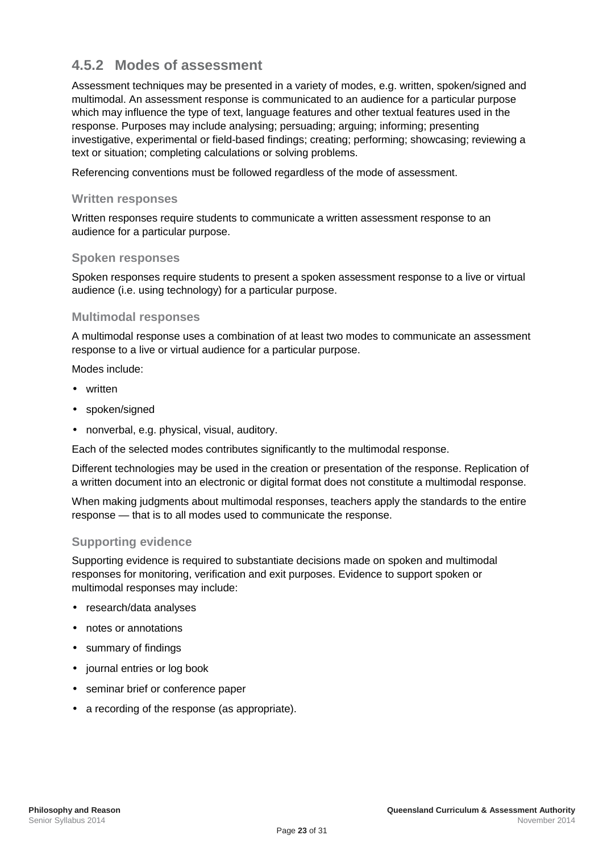## <span id="page-26-0"></span>**4.5.2 Modes of assessment**

Assessment techniques may be presented in a variety of modes, e.g. written, spoken/signed and multimodal. An assessment response is communicated to an audience for a particular purpose which may influence the type of text, language features and other textual features used in the response. Purposes may include analysing; persuading; arguing; informing; presenting investigative, experimental or field-based findings; creating; performing; showcasing; reviewing a text or situation; completing calculations or solving problems.

Referencing conventions must be followed regardless of the mode of assessment.

#### **Written responses**

Written responses require students to communicate a written assessment response to an audience for a particular purpose.

#### **Spoken responses**

Spoken responses require students to present a spoken assessment response to a live or virtual audience (i.e. using technology) for a particular purpose.

#### **Multimodal responses**

A multimodal response uses a combination of at least two modes to communicate an assessment response to a live or virtual audience for a particular purpose.

Modes include:

- written
- spoken/signed
- nonverbal, e.g. physical, visual, auditory.

Each of the selected modes contributes significantly to the multimodal response.

Different technologies may be used in the creation or presentation of the response. Replication of a written document into an electronic or digital format does not constitute a multimodal response.

When making judgments about multimodal responses, teachers apply the standards to the entire response — that is to all modes used to communicate the response.

#### **Supporting evidence**

Supporting evidence is required to substantiate decisions made on spoken and multimodal responses for monitoring, verification and exit purposes. Evidence to support spoken or multimodal responses may include:

- research/data analyses
- notes or annotations
- summary of findings
- journal entries or log book
- seminar brief or conference paper
- a recording of the response (as appropriate).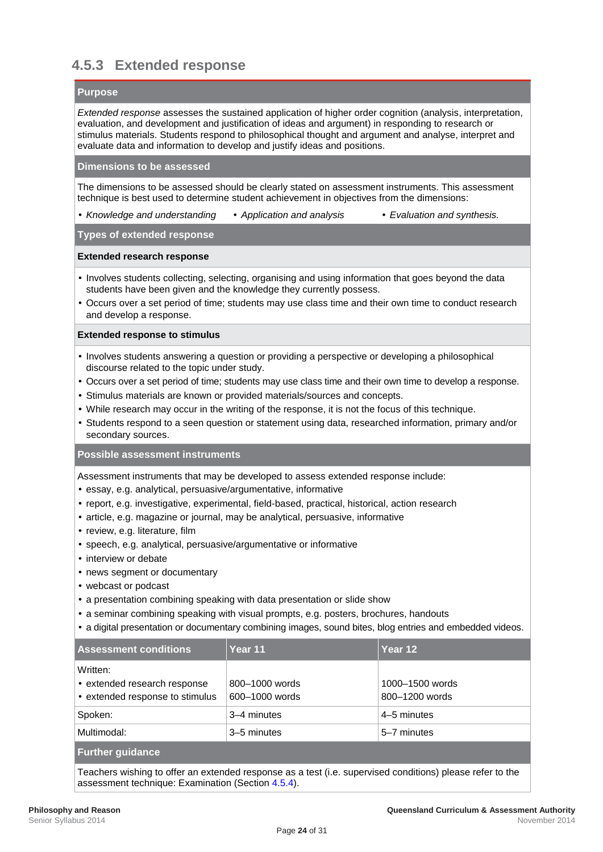## <span id="page-27-0"></span>**4.5.3 Extended response**

#### **Purpose**

*Extended response* assesses the sustained application of higher order cognition (analysis, interpretation, evaluation, and development and justification of ideas and argument) in responding to research or stimulus materials. Students respond to philosophical thought and argument and analyse, interpret and evaluate data and information to develop and justify ideas and positions.

#### **Dimensions to be assessed**

The dimensions to be assessed should be clearly stated on assessment instruments. This assessment technique is best used to determine student achievement in objectives from the dimensions:

Anowledge and understanding *Application and analysis Evaluation and synthesis.* 

#### **Types of extended response**

#### **Extended research response**

- Involves students collecting, selecting, organising and using information that goes beyond the data students have been given and the knowledge they currently possess.
- Occurs over a set period of time; students may use class time and their own time to conduct research and develop a response.

#### **Extended response to stimulus**

- Involves students answering a question or providing a perspective or developing a philosophical discourse related to the topic under study.
- Occurs over a set period of time; students may use class time and their own time to develop a response.
- Stimulus materials are known or provided materials/sources and concepts.
- While research may occur in the writing of the response, it is not the focus of this technique.
- Students respond to a seen question or statement using data, researched information, primary and/or secondary sources.

#### **Possible assessment instruments**

Assessment instruments that may be developed to assess extended response include:

- essay, e.g. analytical, persuasive/argumentative, informative
- report, e.g. investigative, experimental, field-based, practical, historical, action research
- article, e.g. magazine or journal, may be analytical, persuasive, informative
- review, e.g. literature, film
- speech, e.g. analytical, persuasive/argumentative or informative
- . interview or debate
- . news segment or documentary
- webcast or podcast
- a presentation combining speaking with data presentation or slide show
- a seminar combining speaking with visual prompts, e.g. posters, brochures, handouts
- a digital presentation or documentary combining images, sound bites, blog entries and embedded videos.

| <b>Assessment conditions</b>                                            | Year 11                          | Year 12                           |  |
|-------------------------------------------------------------------------|----------------------------------|-----------------------------------|--|
| Written:<br>extended research response<br>extended response to stimulus | 800-1000 words<br>600-1000 words | 1000-1500 words<br>800-1200 words |  |
| Spoken:                                                                 | 3-4 minutes                      | 4–5 minutes                       |  |
| Multimodal:                                                             | 3-5 minutes                      | 5–7 minutes                       |  |
| <b>Further guidance</b>                                                 |                                  |                                   |  |

Teachers wishing to offer an extended response as a test (i.e. supervised conditions) please refer to the assessment technique: [Examination](#page-28-0) (Section [4.5.4\)](#page-28-0).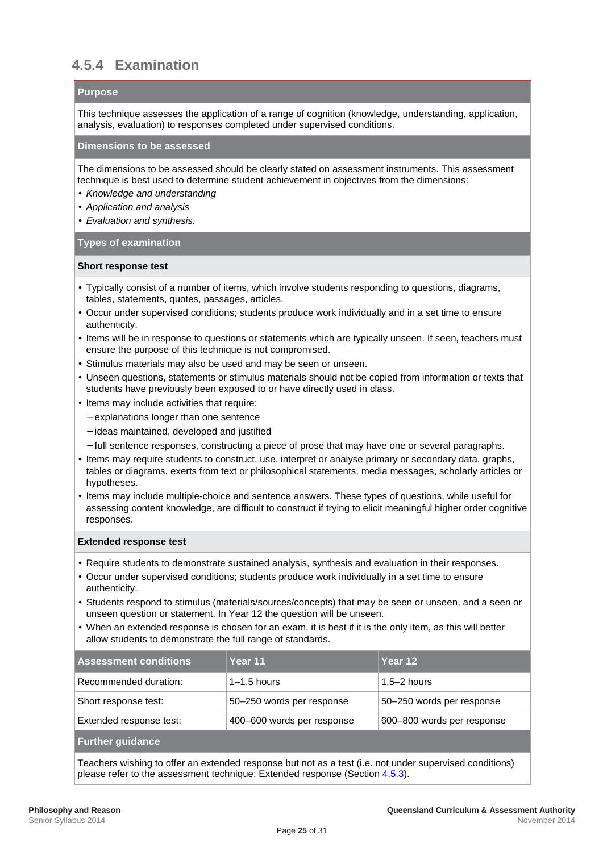## <span id="page-28-0"></span>**4.5.4 Examination**

#### **Purpose**

This technique assesses the application of a range of cognition (knowledge, understanding, application, analysis, evaluation) to responses completed under supervised conditions.

#### **Dimensions to be assessed**

The dimensions to be assessed should be clearly stated on assessment instruments. This assessment technique is best used to determine student achievement in objectives from the dimensions:

- *Knowledge and understanding*
- *Application and analysis*
- *Evaluation and synthesis.*

#### **Types of examination**

#### **Short response test**

- Typically consist of a number of items, which involve students responding to questions, diagrams, tables, statements, quotes, passages, articles.
- Occur under supervised conditions; students produce work individually and in a set time to ensure authenticity.
- Items will be in response to questions or statements which are typically unseen. If seen, teachers must ensure the purpose of this technique is not compromised.
- Stimulus materials may also be used and may be seen or unseen.
- Unseen questions, statements or stimulus materials should not be copied from information or texts that students have previously been exposed to or have directly used in class.
- $\cdot$  Items may include activities that require:
	- explanations longer than one sentence
	- ideas maintained, developed and justified
	- full sentence responses, constructing a piece of prose that may have one or several paragraphs.
- Items may require students to construct, use, interpret or analyse primary or secondary data, graphs, tables or diagrams, exerts from text or philosophical statements, media messages, scholarly articles or hypotheses.
- Items may include multiple-choice and sentence answers. These types of questions, while useful for assessing content knowledge, are difficult to construct if trying to elicit meaningful higher order cognitive responses.

#### **Extended response test**

- Require students to demonstrate sustained analysis, synthesis and evaluation in their responses.
- $\cdot$  Occur under supervised conditions; students produce work individually in a set time to ensure authenticity.
- Students respond to stimulus (materials/sources/concepts) that may be seen or unseen, and a seen or unseen question or statement. In Year 12 the question will be unseen.
- When an extended response is chosen for an exam, it is best if it is the only item, as this will better allow students to demonstrate the full range of standards.

| <b>Assessment conditions</b> | Year 11                    | Year 12                    |
|------------------------------|----------------------------|----------------------------|
| Recommended duration:        | $1-1.5$ hours              | $1.5 - 2$ hours            |
| Short response test:         | 50-250 words per response  | 50-250 words per response  |
| Extended response test:      | 400-600 words per response | 600-800 words per response |
| <b>Further guidance</b>      |                            |                            |

Teachers wishing to offer an extended response but not as a test (i.e. not under supervised conditions) please refer to the assessment technique: [Extended response](#page-27-0) (Sectio[n 4.5.3\)](#page-27-0).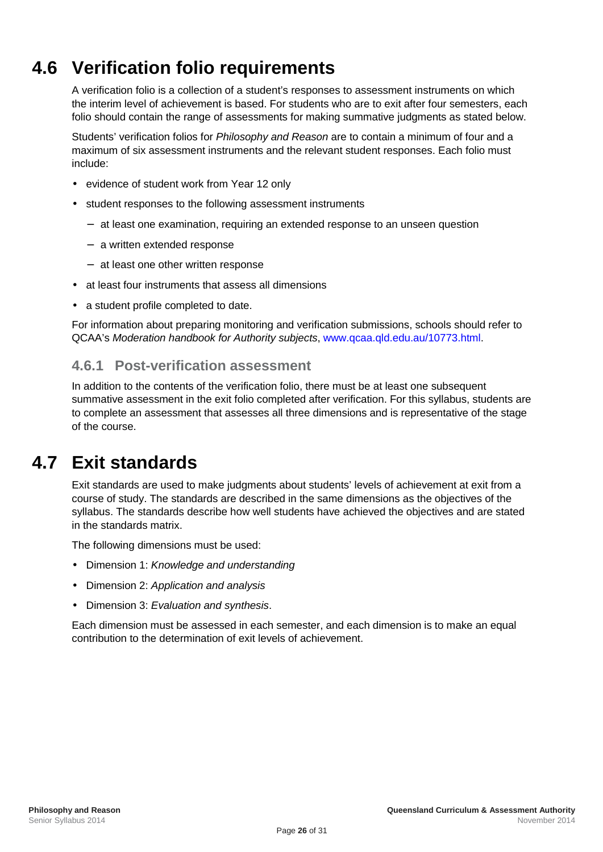# **4.6 Verification folio requirements**

<span id="page-29-0"></span>A verification folio is a collection of a student's responses to assessment instruments on which the interim level of achievement is based. For students who are to exit after four semesters, each folio should contain the range of assessments for making summative judgments as stated below.

Students' verification folios for *Philosophy and Reason* are to contain a minimum of four and a maximum of six assessment instruments and the relevant student responses. Each folio must include:

- evidence of student work from Year 12 only
- student responses to the following assessment instruments
	- at least one examination, requiring an extended response to an unseen question
	- a written extended response
	- at least one other written response
- at least four instruments that assess all dimensions
- a student profile completed to date.

For information about preparing monitoring and verification submissions, schools should refer to QCAA's *Moderation handbook for Authority subjects*, [www.qcaa.qld.edu.au/10773.html.](http://www.qcaa.qld.edu.au/10773.html)

## <span id="page-29-1"></span>**4.6.1 Post-verification assessment**

In addition to the contents of the verification folio, there must be at least one subsequent summative assessment in the exit folio completed after verification. For this syllabus, students are to complete an assessment that assesses all three dimensions and is representative of the stage of the course.

## **4.7 Exit standards**

<span id="page-29-2"></span>Exit standards are used to make judgments about students' levels of achievement at exit from a course of study. The standards are described in the same dimensions as the objectives of the syllabus. The standards describe how well students have achieved the objectives and are stated in the standards matrix.

The following dimensions must be used:

- Dimension 1: *Knowledge and understanding*
- Dimension 2: *Application and analysis*
- Dimension 3: *Evaluation and synthesis*.

Each dimension must be assessed in each semester, and each dimension is to make an equal contribution to the determination of exit levels of achievement.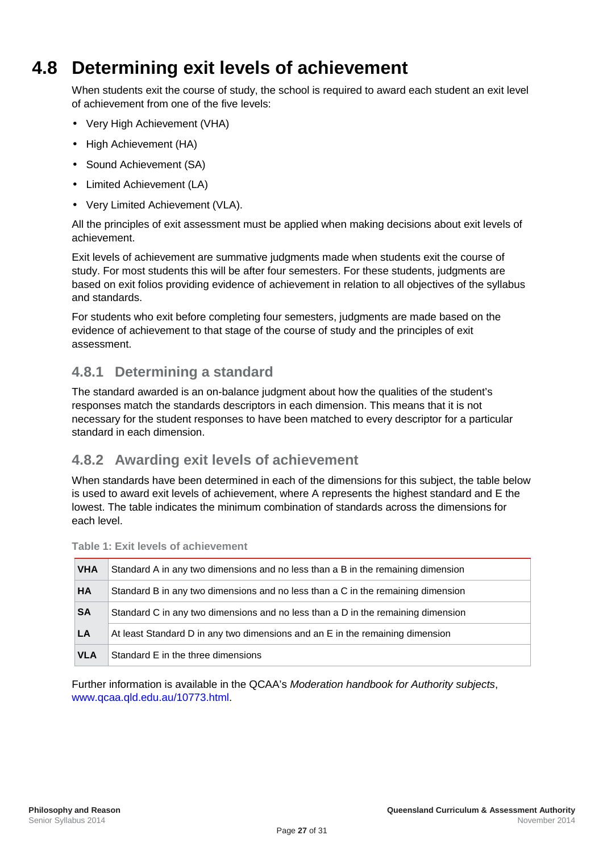# **4.8 Determining exit levels of achievement**

<span id="page-30-0"></span>When students exit the course of study, the school is required to award each student an exit level of achievement from one of the five levels:

- Very High Achievement (VHA)
- High Achievement (HA)
- Sound Achievement (SA)
- Limited Achievement (LA)
- Very Limited Achievement (VLA).

All the principles of exit assessment must be applied when making decisions about exit levels of achievement.

Exit levels of achievement are summative judgments made when students exit the course of study. For most students this will be after four semesters. For these students, judgments are based on exit folios providing evidence of achievement in relation to all objectives of the syllabus and standards.

For students who exit before completing four semesters, judgments are made based on the evidence of achievement to that stage of the course of study and the principles of exit assessment.

## <span id="page-30-1"></span>**4.8.1 Determining a standard**

The standard awarded is an on-balance judgment about how the qualities of the student's responses match the standards descriptors in each dimension. This means that it is not necessary for the student responses to have been matched to every descriptor for a particular standard in each dimension.

## <span id="page-30-2"></span>**4.8.2 Awarding exit levels of achievement**

When standards have been determined in each of the dimensions for this subject, the table below is used to award exit levels of achievement, where A represents the highest standard and E the lowest. The table indicates the minimum combination of standards across the dimensions for each level.

| <b>VHA</b> | Standard A in any two dimensions and no less than a B in the remaining dimension |
|------------|----------------------------------------------------------------------------------|
| <b>HA</b>  | Standard B in any two dimensions and no less than a C in the remaining dimension |
| <b>SA</b>  | Standard C in any two dimensions and no less than a D in the remaining dimension |
| LA         | At least Standard D in any two dimensions and an E in the remaining dimension    |
| <b>VLA</b> | Standard E in the three dimensions                                               |

| <b>Table 1: Exit levels of achievement</b> |
|--------------------------------------------|
|                                            |

Further information is available in the QCAA's *Moderation handbook for Authority subjects*, [www.qcaa.qld.edu.au/10773.html.](http://www.qsa.qld.edu.au/10773.html)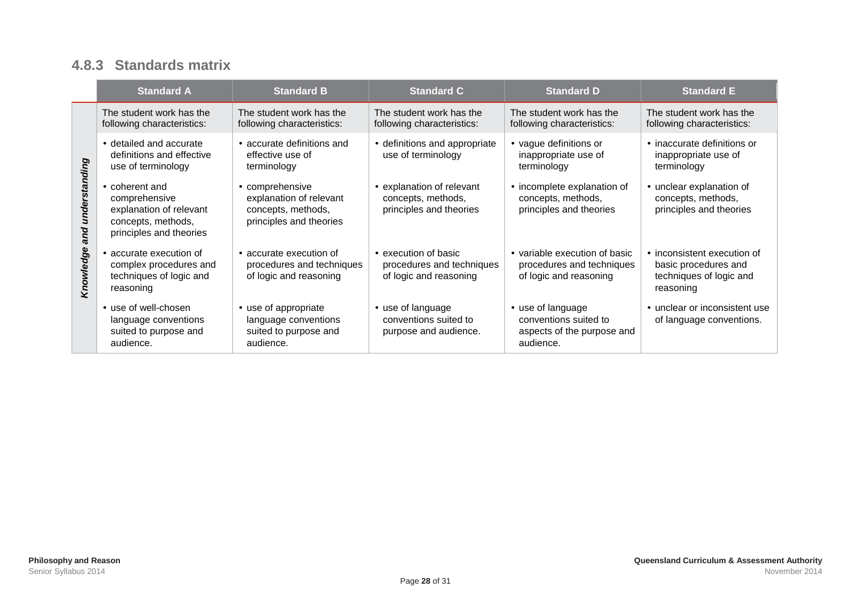## **4.8.3 Standards matrix**

<span id="page-31-0"></span>

|                   | <b>Standard A</b>                                                                                         | <b>Standard B</b>                                                                         | <b>Standard C</b>                                                         | <b>Standard D</b>                                                                   | <b>Standard E</b>                                                                                 |
|-------------------|-----------------------------------------------------------------------------------------------------------|-------------------------------------------------------------------------------------------|---------------------------------------------------------------------------|-------------------------------------------------------------------------------------|---------------------------------------------------------------------------------------------------|
| and understanding | The student work has the<br>following characteristics:                                                    | The student work has the<br>following characteristics:                                    | The student work has the<br>following characteristics:                    | The student work has the<br>following characteristics:                              | The student work has the<br>following characteristics:                                            |
|                   | detailed and accurate<br>definitions and effective<br>use of terminology                                  | accurate definitions and<br>effective use of<br>terminology                               | definitions and appropriate<br>use of terminology                         | vague definitions or<br>inappropriate use of<br>terminology                         | · inaccurate definitions or<br>inappropriate use of<br>terminology                                |
|                   | coherent and<br>comprehensive<br>explanation of relevant<br>concepts, methods,<br>principles and theories | comprehensive<br>explanation of relevant<br>concepts, methods,<br>principles and theories | explanation of relevant<br>concepts, methods,<br>principles and theories  | · incomplete explanation of<br>concepts, methods,<br>principles and theories        | unclear explanation of<br>concepts, methods,<br>principles and theories                           |
| Knowledge         | accurate execution of<br>complex procedures and<br>techniques of logic and<br>reasoning                   | accurate execution of<br>procedures and techniques<br>of logic and reasoning              | execution of basic<br>procedures and techniques<br>of logic and reasoning | variable execution of basic<br>procedures and techniques<br>of logic and reasoning  | $\cdot$ inconsistent execution of<br>basic procedures and<br>techniques of logic and<br>reasoning |
|                   | use of well-chosen<br>language conventions<br>suited to purpose and<br>audience.                          | use of appropriate<br>language conventions<br>suited to purpose and<br>audience.          | use of language<br>conventions suited to<br>purpose and audience.         | use of language<br>conventions suited to<br>aspects of the purpose and<br>audience. | unclear or inconsistent use<br>of language conventions.                                           |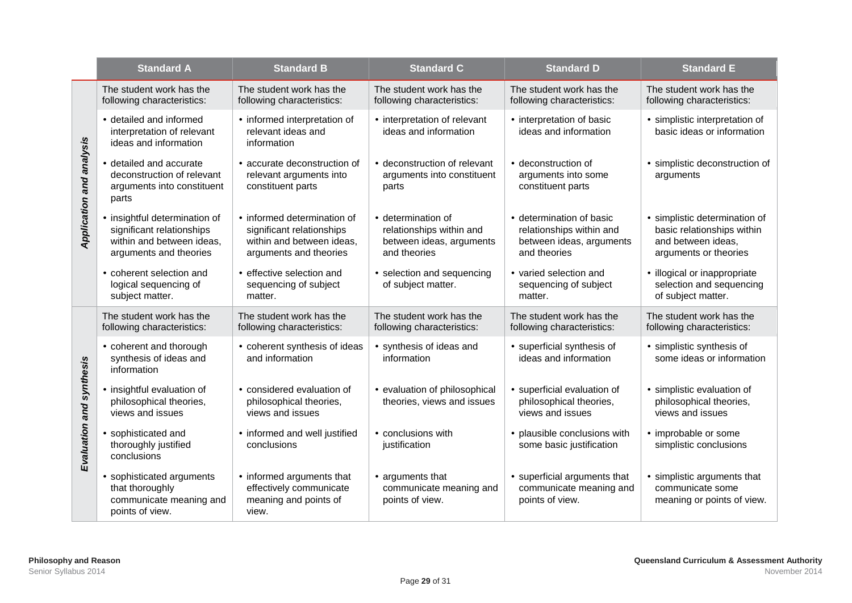|                          | <b>Standard A</b>                                                                                               | <b>Standard B</b>                                                                                             | <b>Standard C</b>                                                                        | <b>Standard D</b>                                                                              | <b>Standard E</b>                                                                                        |
|--------------------------|-----------------------------------------------------------------------------------------------------------------|---------------------------------------------------------------------------------------------------------------|------------------------------------------------------------------------------------------|------------------------------------------------------------------------------------------------|----------------------------------------------------------------------------------------------------------|
| Application and analysis | The student work has the<br>following characteristics:                                                          | The student work has the<br>following characteristics:                                                        | The student work has the<br>following characteristics:                                   | The student work has the<br>following characteristics:                                         | The student work has the<br>following characteristics:                                                   |
|                          | detailed and informed<br>interpretation of relevant<br>ideas and information                                    | · informed interpretation of<br>relevant ideas and<br>information                                             | · interpretation of relevant<br>ideas and information                                    | - interpretation of basic<br>ideas and information                                             | simplistic interpretation of<br>basic ideas or information                                               |
|                          | detailed and accurate<br>deconstruction of relevant<br>arguments into constituent<br>parts                      | accurate deconstruction of<br>relevant arguments into<br>constituent parts                                    | deconstruction of relevant<br>arguments into constituent<br>parts                        | deconstruction of<br>arguments into some<br>constituent parts                                  | simplistic deconstruction of<br>arguments                                                                |
|                          | insightful determination of<br>significant relationships<br>within and between ideas,<br>arguments and theories | informed determination of<br>significant relationships<br>within and between ideas,<br>arguments and theories | determination of<br>relationships within and<br>between ideas, arguments<br>and theories | determination of basic<br>relationships within and<br>between ideas, arguments<br>and theories | simplistic determination of<br>basic relationships within<br>and between ideas,<br>arguments or theories |
|                          | coherent selection and<br>logical sequencing of<br>subject matter.                                              | effective selection and<br>sequencing of subject<br>matter.                                                   | selection and sequencing<br>of subject matter.                                           | varied selection and<br>sequencing of subject<br>matter.                                       | · illogical or inappropriate<br>selection and sequencing<br>of subject matter.                           |
|                          | The student work has the<br>following characteristics:                                                          | The student work has the<br>following characteristics:                                                        | The student work has the<br>following characteristics:                                   | The student work has the<br>following characteristics:                                         | The student work has the<br>following characteristics:                                                   |
|                          | coherent and thorough<br>synthesis of ideas and<br>information                                                  | coherent synthesis of ideas<br>and information                                                                | synthesis of ideas and<br>information                                                    | · superficial synthesis of<br>ideas and information                                            | simplistic synthesis of<br>some ideas or information                                                     |
| Evaluation and synthesis | insightful evaluation of<br>philosophical theories,<br>views and issues                                         | considered evaluation of<br>philosophical theories,<br>views and issues                                       | evaluation of philosophical<br>theories, views and issues                                | superficial evaluation of<br>philosophical theories,<br>views and issues                       | simplistic evaluation of<br>philosophical theories,<br>views and issues                                  |
|                          | sophisticated and<br>thoroughly justified<br>conclusions                                                        | informed and well justified<br>conclusions                                                                    | conclusions with<br>justification                                                        | plausible conclusions with<br>some basic justification                                         | improbable or some<br>simplistic conclusions                                                             |
|                          | sophisticated arguments<br>that thoroughly<br>communicate meaning and<br>points of view.                        | informed arguments that<br>effectively communicate<br>meaning and points of<br>view.                          | arguments that<br>communicate meaning and<br>points of view.                             | superficial arguments that<br>communicate meaning and<br>points of view.                       | simplistic arguments that<br>communicate some<br>meaning or points of view.                              |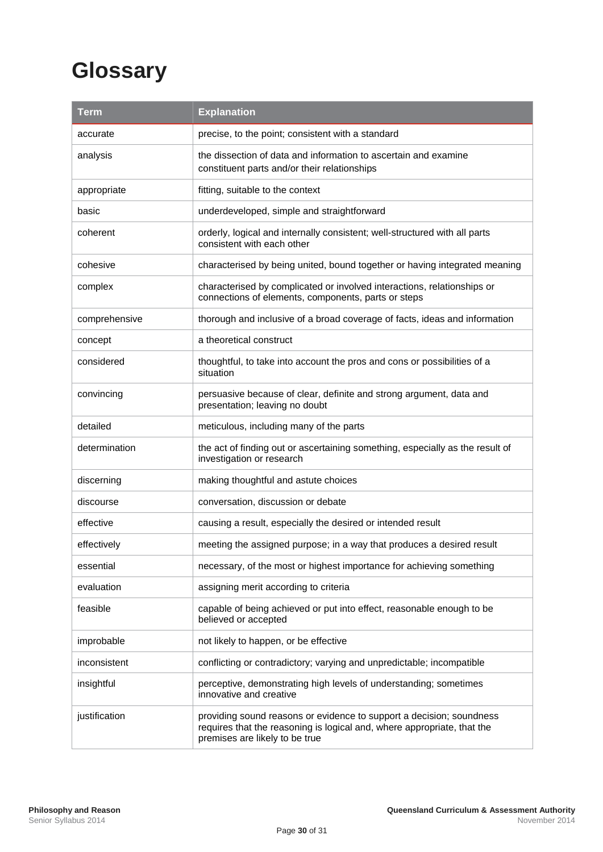# <span id="page-33-0"></span>**Glossary**

| <b>Term</b>   | <b>Explanation</b>                                                                                                                                                                |  |
|---------------|-----------------------------------------------------------------------------------------------------------------------------------------------------------------------------------|--|
| accurate      | precise, to the point; consistent with a standard                                                                                                                                 |  |
| analysis      | the dissection of data and information to ascertain and examine<br>constituent parts and/or their relationships                                                                   |  |
| appropriate   | fitting, suitable to the context                                                                                                                                                  |  |
| basic         | underdeveloped, simple and straightforward                                                                                                                                        |  |
| coherent      | orderly, logical and internally consistent; well-structured with all parts<br>consistent with each other                                                                          |  |
| cohesive      | characterised by being united, bound together or having integrated meaning                                                                                                        |  |
| complex       | characterised by complicated or involved interactions, relationships or<br>connections of elements, components, parts or steps                                                    |  |
| comprehensive | thorough and inclusive of a broad coverage of facts, ideas and information                                                                                                        |  |
| concept       | a theoretical construct                                                                                                                                                           |  |
| considered    | thoughtful, to take into account the pros and cons or possibilities of a<br>situation                                                                                             |  |
| convincing    | persuasive because of clear, definite and strong argument, data and<br>presentation; leaving no doubt                                                                             |  |
| detailed      | meticulous, including many of the parts                                                                                                                                           |  |
| determination | the act of finding out or ascertaining something, especially as the result of<br>investigation or research                                                                        |  |
| discerning    | making thoughtful and astute choices                                                                                                                                              |  |
| discourse     | conversation, discussion or debate                                                                                                                                                |  |
| effective     | causing a result, especially the desired or intended result                                                                                                                       |  |
| effectively   | meeting the assigned purpose; in a way that produces a desired result                                                                                                             |  |
| essential     | necessary, of the most or highest importance for achieving something                                                                                                              |  |
| evaluation    | assigning merit according to criteria                                                                                                                                             |  |
| feasible      | capable of being achieved or put into effect, reasonable enough to be<br>believed or accepted                                                                                     |  |
| improbable    | not likely to happen, or be effective                                                                                                                                             |  |
| inconsistent  | conflicting or contradictory; varying and unpredictable; incompatible                                                                                                             |  |
| insightful    | perceptive, demonstrating high levels of understanding; sometimes<br>innovative and creative                                                                                      |  |
| justification | providing sound reasons or evidence to support a decision; soundness<br>requires that the reasoning is logical and, where appropriate, that the<br>premises are likely to be true |  |